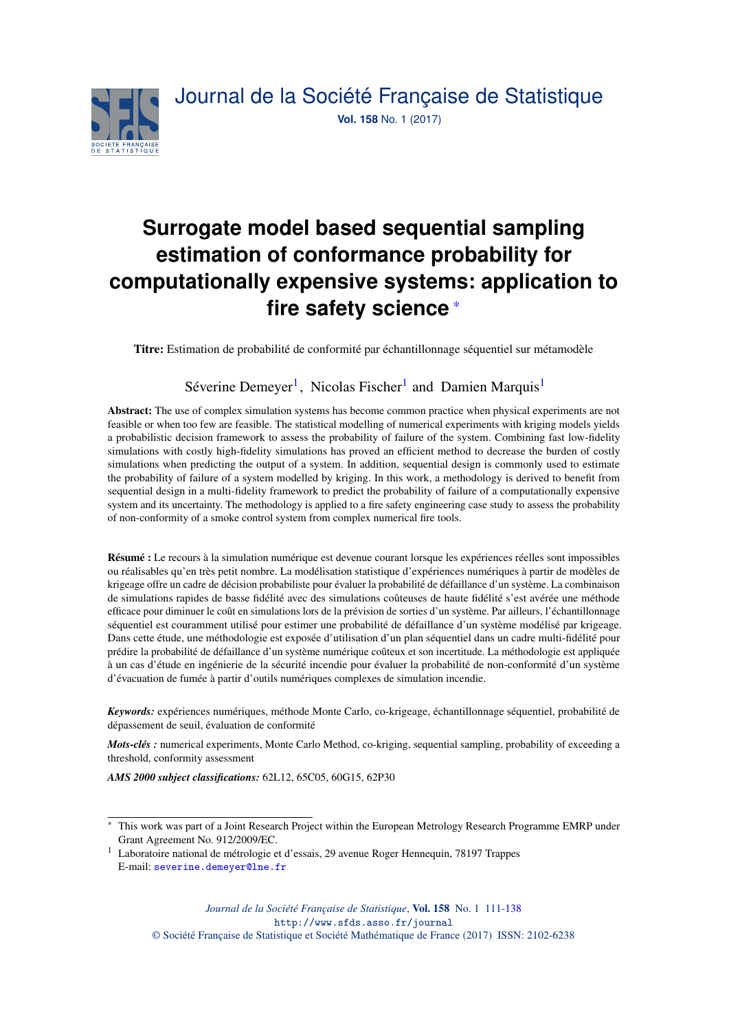

# **Surrogate model based sequential sampling estimation of conformance probability for computationally expensive systems: application to fire safety science** \*

Titre: Estimation de probabilité de conformité par échantillonnage séquentiel sur métamodèle

## Séverine Demeyer<sup>[1](#page-0-0)</sup>, Nicolas Fischer<sup>1</sup> and Damien Marquis<sup>1</sup>

Abstract: The use of complex simulation systems has become common practice when physical experiments are not feasible or when too few are feasible. The statistical modelling of numerical experiments with kriging models yields a probabilistic decision framework to assess the probability of failure of the system. Combining fast low-fidelity simulations with costly high-fidelity simulations has proved an efficient method to decrease the burden of costly simulations when predicting the output of a system. In addition, sequential design is commonly used to estimate the probability of failure of a system modelled by kriging. In this work, a methodology is derived to benefit from sequential design in a multi-fidelity framework to predict the probability of failure of a computationally expensive system and its uncertainty. The methodology is applied to a fire safety engineering case study to assess the probability of non-conformity of a smoke control system from complex numerical fire tools.

Résumé : Le recours à la simulation numérique est devenue courant lorsque les expériences réelles sont impossibles ou réalisables qu'en très petit nombre. La modélisation statistique d'expériences numériques à partir de modèles de krigeage offre un cadre de décision probabiliste pour évaluer la probabilité de défaillance d'un système. La combinaison de simulations rapides de basse fidélité avec des simulations coûteuses de haute fidélité s'est avérée une méthode efficace pour diminuer le coût en simulations lors de la prévision de sorties d'un système. Par ailleurs, l'échantillonnage séquentiel est couramment utilisé pour estimer une probabilité de défaillance d'un système modélisé par krigeage. Dans cette étude, une méthodologie est exposée d'utilisation d'un plan séquentiel dans un cadre multi-fidélité pour prédire la probabilité de défaillance d'un système numérique coûteux et son incertitude. La méthodologie est appliquée à un cas d'étude en ingénierie de la sécurité incendie pour évaluer la probabilité de non-conformité d'un système d'évacuation de fumée à partir d'outils numériques complexes de simulation incendie.

*Keywords:* expériences numériques, méthode Monte Carlo, co-krigeage, échantillonnage séquentiel, probabilité de dépassement de seuil, évaluation de conformité

*Mots-clés :* numerical experiments, Monte Carlo Method, co-kriging, sequential sampling, probability of exceeding a threshold, conformity assessment

*AMS 2000 subject classifications:* 62L12, 65C05, 60G15, 62P30

*Journal de la Société Française de Statistique*, Vol. 158 No. 1 111[-138](#page-27-0) http://www.sfds.asso.fr/journal

© Société Française de Statistique et Société Mathématique de France (2017) ISSN: 2102-6238

<sup>\*</sup> This work was part of a Joint Research Project within the European Metrology Research Programme EMRP under Grant Agreement No. 912/2009/EC.

<span id="page-0-0"></span><sup>1</sup> Laboratoire national de métrologie et d'essais, 29 avenue Roger Hennequin, 78197 Trappes E-mail: [severine.demeyer@lne.fr](mailto:severine.demeyer@lne.fr)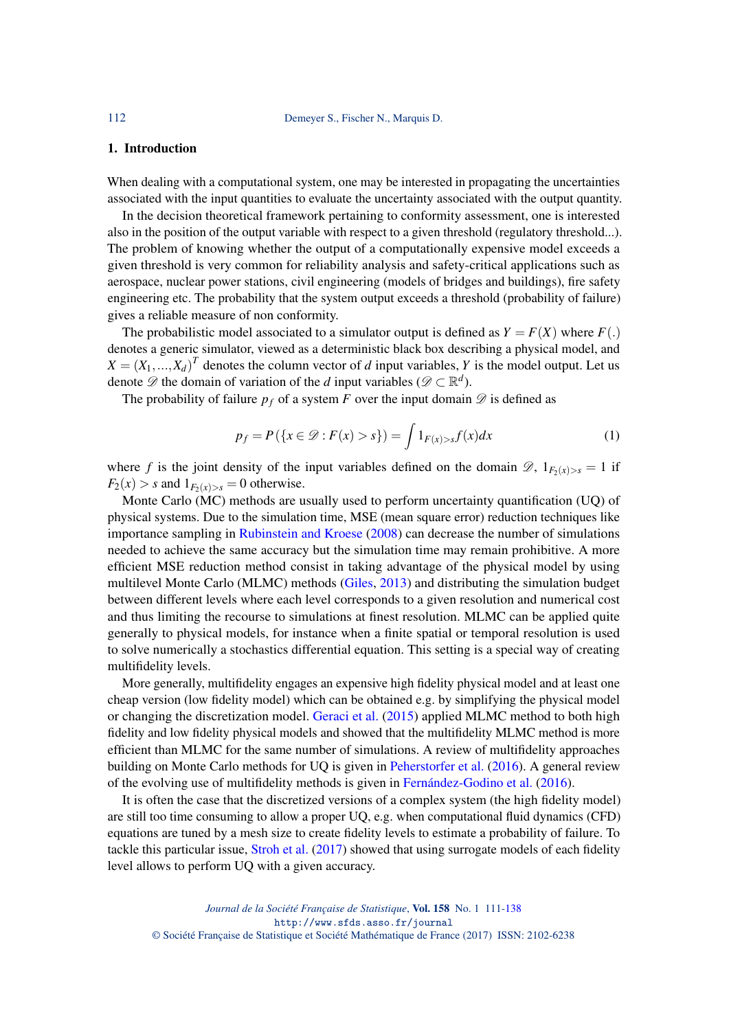#### 1. Introduction

When dealing with a computational system, one may be interested in propagating the uncertainties associated with the input quantities to evaluate the uncertainty associated with the output quantity.

In the decision theoretical framework pertaining to conformity assessment, one is interested also in the position of the output variable with respect to a given threshold (regulatory threshold...). The problem of knowing whether the output of a computationally expensive model exceeds a given threshold is very common for reliability analysis and safety-critical applications such as aerospace, nuclear power stations, civil engineering (models of bridges and buildings), fire safety engineering etc. The probability that the system output exceeds a threshold (probability of failure) gives a reliable measure of non conformity.

The probabilistic model associated to a simulator output is defined as  $Y = F(X)$  where  $F(.)$ denotes a generic simulator, viewed as a deterministic black box describing a physical model, and  $X = (X_1, ..., X_d)^T$  denotes the column vector of *d* input variables, *Y* is the model output. Let us denote  $\mathscr{D}$  the domain of variation of the *d* input variables ( $\mathscr{D} \subset \mathbb{R}^d$ ).

The probability of failure  $p_f$  of a system *F* over the input domain  $\mathscr D$  is defined as

$$
p_f = P(\{x \in \mathcal{D} : F(x) > s\}) = \int 1_{F(x) > s} f(x) dx \tag{1}
$$

where *f* is the joint density of the input variables defined on the domain  $\mathscr{D}$ ,  $1_{F_2(x)>s} = 1$  if  $F_2(x) > s$  and  $1_{F_2(x)>s} = 0$  otherwise.

Monte Carlo (MC) methods are usually used to perform uncertainty quantification (UQ) of physical systems. Due to the simulation time, MSE (mean square error) reduction techniques like importance sampling in [Rubinstein and Kroese](#page-27-1) [\(2008\)](#page-27-1) can decrease the number of simulations needed to achieve the same accuracy but the simulation time may remain prohibitive. A more efficient MSE reduction method consist in taking advantage of the physical model by using multilevel Monte Carlo (MLMC) methods [\(Giles,](#page-26-0) [2013\)](#page-26-0) and distributing the simulation budget between different levels where each level corresponds to a given resolution and numerical cost and thus limiting the recourse to simulations at finest resolution. MLMC can be applied quite generally to physical models, for instance when a finite spatial or temporal resolution is used to solve numerically a stochastics differential equation. This setting is a special way of creating multifidelity levels.

More generally, multifidelity engages an expensive high fidelity physical model and at least one cheap version (low fidelity model) which can be obtained e.g. by simplifying the physical model or changing the discretization model. [Geraci et al.](#page-26-1) [\(2015\)](#page-26-1) applied MLMC method to both high fidelity and low fidelity physical models and showed that the multifidelity MLMC method is more efficient than MLMC for the same number of simulations. A review of multifidelity approaches building on Monte Carlo methods for UQ is given in [Peherstorfer et al.](#page-26-2) [\(2016\)](#page-26-2). A general review of the evolving use of multifidelity methods is given in [Fernández-Godino et al.](#page-26-3) [\(2016\)](#page-26-3).

It is often the case that the discretized versions of a complex system (the high fidelity model) are still too time consuming to allow a proper UQ, e.g. when computational fluid dynamics (CFD) equations are tuned by a mesh size to create fidelity levels to estimate a probability of failure. To tackle this particular issue, [Stroh et al.](#page-27-2) [\(2017\)](#page-27-2) showed that using surrogate models of each fidelity level allows to perform UQ with a given accuracy.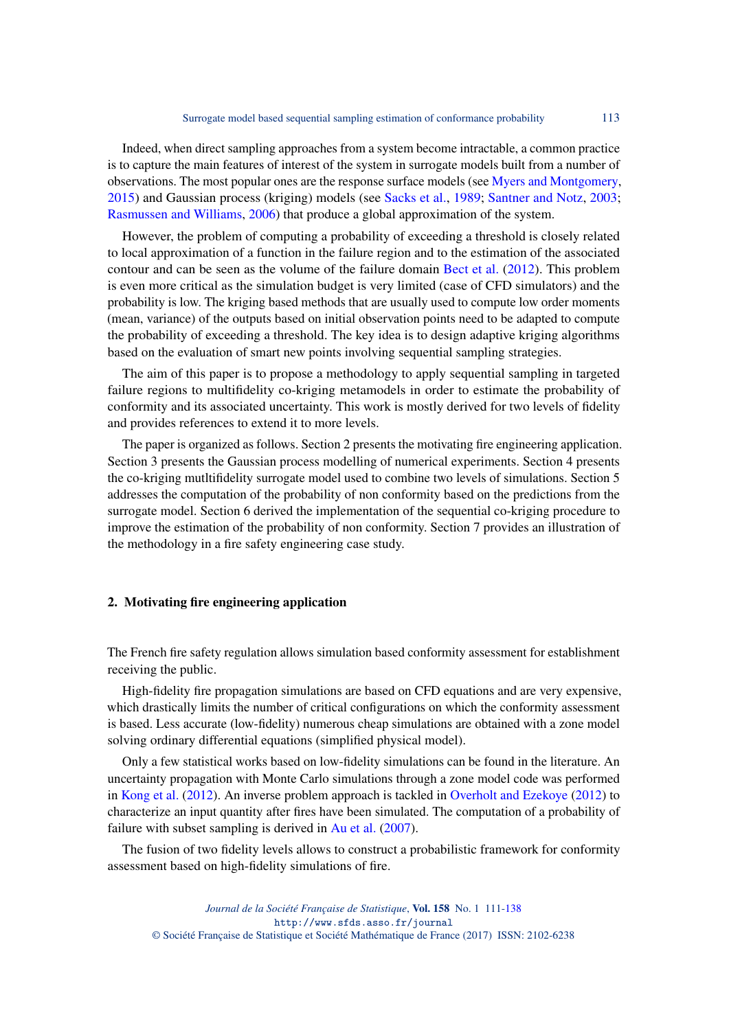Indeed, when direct sampling approaches from a system become intractable, a common practice is to capture the main features of interest of the system in surrogate models built from a number of observations. The most popular ones are the response surface models (see [Myers and Montgomery,](#page-26-4) [2015\)](#page-26-4) and Gaussian process (kriging) models (see [Sacks et al.,](#page-27-3) [1989;](#page-27-3) [Santner and Notz,](#page-27-4) [2003;](#page-27-4) [Rasmussen and Williams,](#page-27-5) [2006\)](#page-27-5) that produce a global approximation of the system.

However, the problem of computing a probability of exceeding a threshold is closely related to local approximation of a function in the failure region and to the estimation of the associated contour and can be seen as the volume of the failure domain [Bect et al.](#page-25-0) [\(2012\)](#page-25-0). This problem is even more critical as the simulation budget is very limited (case of CFD simulators) and the probability is low. The kriging based methods that are usually used to compute low order moments (mean, variance) of the outputs based on initial observation points need to be adapted to compute the probability of exceeding a threshold. The key idea is to design adaptive kriging algorithms based on the evaluation of smart new points involving sequential sampling strategies.

The aim of this paper is to propose a methodology to apply sequential sampling in targeted failure regions to multifidelity co-kriging metamodels in order to estimate the probability of conformity and its associated uncertainty. This work is mostly derived for two levels of fidelity and provides references to extend it to more levels.

The paper is organized as follows. Section 2 presents the motivating fire engineering application. Section 3 presents the Gaussian process modelling of numerical experiments. Section 4 presents the co-kriging mutltifidelity surrogate model used to combine two levels of simulations. Section 5 addresses the computation of the probability of non conformity based on the predictions from the surrogate model. Section 6 derived the implementation of the sequential co-kriging procedure to improve the estimation of the probability of non conformity. Section 7 provides an illustration of the methodology in a fire safety engineering case study.

#### 2. Motivating fire engineering application

The French fire safety regulation allows simulation based conformity assessment for establishment receiving the public.

High-fidelity fire propagation simulations are based on CFD equations and are very expensive, which drastically limits the number of critical configurations on which the conformity assessment is based. Less accurate (low-fidelity) numerous cheap simulations are obtained with a zone model solving ordinary differential equations (simplified physical model).

Only a few statistical works based on low-fidelity simulations can be found in the literature. An uncertainty propagation with Monte Carlo simulations through a zone model code was performed in [Kong et al.](#page-26-5) [\(2012\)](#page-26-5). An inverse problem approach is tackled in [Overholt and Ezekoye](#page-26-6) [\(2012\)](#page-26-6) to characterize an input quantity after fires have been simulated. The computation of a probability of failure with subset sampling is derived in [Au et al.](#page-25-1) [\(2007\)](#page-25-1).

The fusion of two fidelity levels allows to construct a probabilistic framework for conformity assessment based on high-fidelity simulations of fire.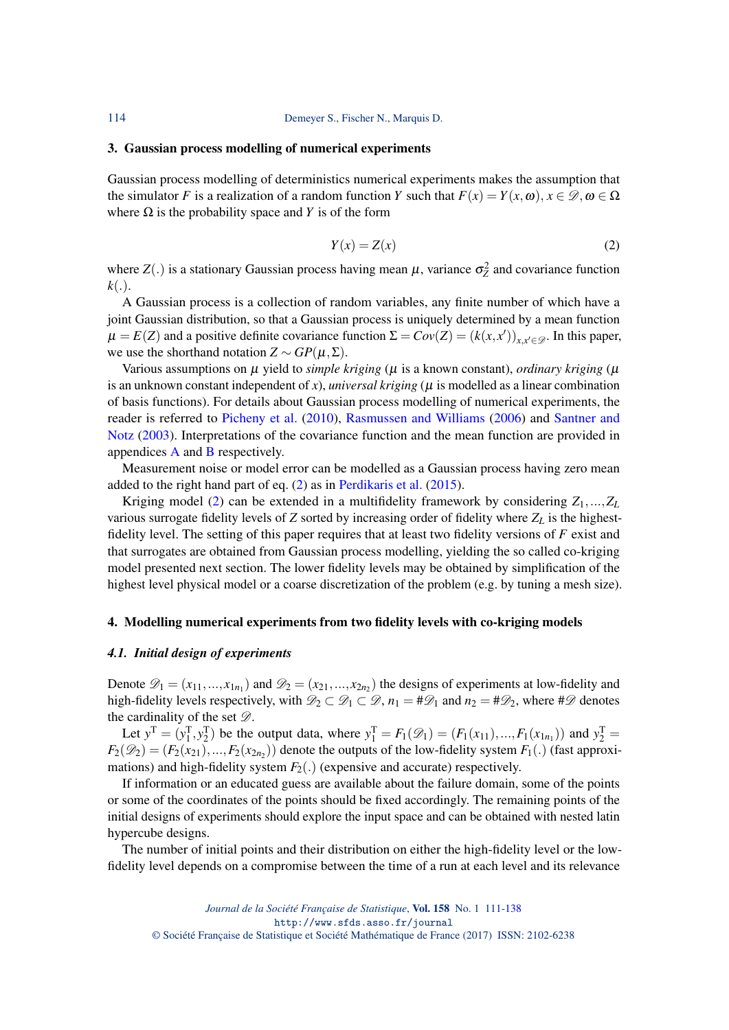#### 3. Gaussian process modelling of numerical experiments

Gaussian process modelling of deterministics numerical experiments makes the assumption that the simulator *F* is a realization of a random function *Y* such that  $F(x) = Y(x, \omega)$ ,  $x \in \mathcal{D}, \omega \in \Omega$ where  $\Omega$  is the probability space and *Y* is of the form

<span id="page-3-0"></span>
$$
Y(x) = Z(x) \tag{2}
$$

where  $Z(.)$  is a stationary Gaussian process having mean  $\mu$ , variance  $\sigma_Z^2$  and covariance function  $k(.)$ .

A Gaussian process is a collection of random variables, any finite number of which have a joint Gaussian distribution, so that a Gaussian process is uniquely determined by a mean function  $\mu = E(Z)$  and a positive definite covariance function  $\Sigma = Cov(Z) = (k(x, x'))_{x, x' \in \mathcal{D}}$ . In this paper, we use the shorthand notation  $Z \sim GP(\mu, \Sigma)$ .

Various assumptions on  $\mu$  yield to *simple kriging* ( $\mu$  is a known constant), *ordinary kriging* ( $\mu$ is an unknown constant independent of  $x$ ), *universal kriging* ( $\mu$  is modelled as a linear combination of basis functions). For details about Gaussian process modelling of numerical experiments, the reader is referred to [Picheny et al.](#page-26-7) [\(2010\)](#page-26-7), [Rasmussen and Williams](#page-27-5) [\(2006\)](#page-27-5) and [Santner and](#page-27-4) [Notz](#page-27-4) [\(2003\)](#page-27-4). Interpretations of the covariance function and the mean function are provided in appendices [A](#page-23-0) and [B](#page-23-1) respectively.

Measurement noise or model error can be modelled as a Gaussian process having zero mean added to the right hand part of eq. [\(2\)](#page-3-0) as in [Perdikaris et al.](#page-26-8) [\(2015\)](#page-26-8).

Kriging model [\(2\)](#page-3-0) can be extended in a multifidelity framework by considering  $Z_1$ ,..., $Z_L$ various surrogate fidelity levels of *Z* sorted by increasing order of fidelity where *Z<sup>L</sup>* is the highestfidelity level. The setting of this paper requires that at least two fidelity versions of *F* exist and that surrogates are obtained from Gaussian process modelling, yielding the so called co-kriging model presented next section. The lower fidelity levels may be obtained by simplification of the highest level physical model or a coarse discretization of the problem (e.g. by tuning a mesh size).

#### 4. Modelling numerical experiments from two fidelity levels with co-kriging models

#### <span id="page-3-1"></span>*4.1. Initial design of experiments*

Denote  $\mathscr{D}_1 = (x_{11},...,x_{1n_1})$  and  $\mathscr{D}_2 = (x_{21},...,x_{2n_2})$  the designs of experiments at low-fidelity and high-fidelity levels respectively, with  $\mathcal{D}_2 \subset \mathcal{D}_1 \subset \mathcal{D}$ ,  $n_1 = #\mathcal{D}_1$  and  $n_2 = #\mathcal{D}_2$ , where # $\mathcal D$  denotes the cardinality of the set  $\mathscr{D}$ .

Let  $y^T = (y_1^T, y_2^T)$  be the output data, where  $y_1^T = F_1(\mathcal{D}_1) = (F_1(x_{11}), ..., F_1(x_{1n_1}))$  and  $y_2^T =$  $F_2(\mathscr{D}_2) = (F_2(x_{21}),...,F_2(x_{2n_2}))$  denote the outputs of the low-fidelity system  $F_1(.)$  (fast approximations) and high-fidelity system  $F_2(.)$  (expensive and accurate) respectively.

If information or an educated guess are available about the failure domain, some of the points or some of the coordinates of the points should be fixed accordingly. The remaining points of the initial designs of experiments should explore the input space and can be obtained with nested latin hypercube designs.

The number of initial points and their distribution on either the high-fidelity level or the lowfidelity level depends on a compromise between the time of a run at each level and its relevance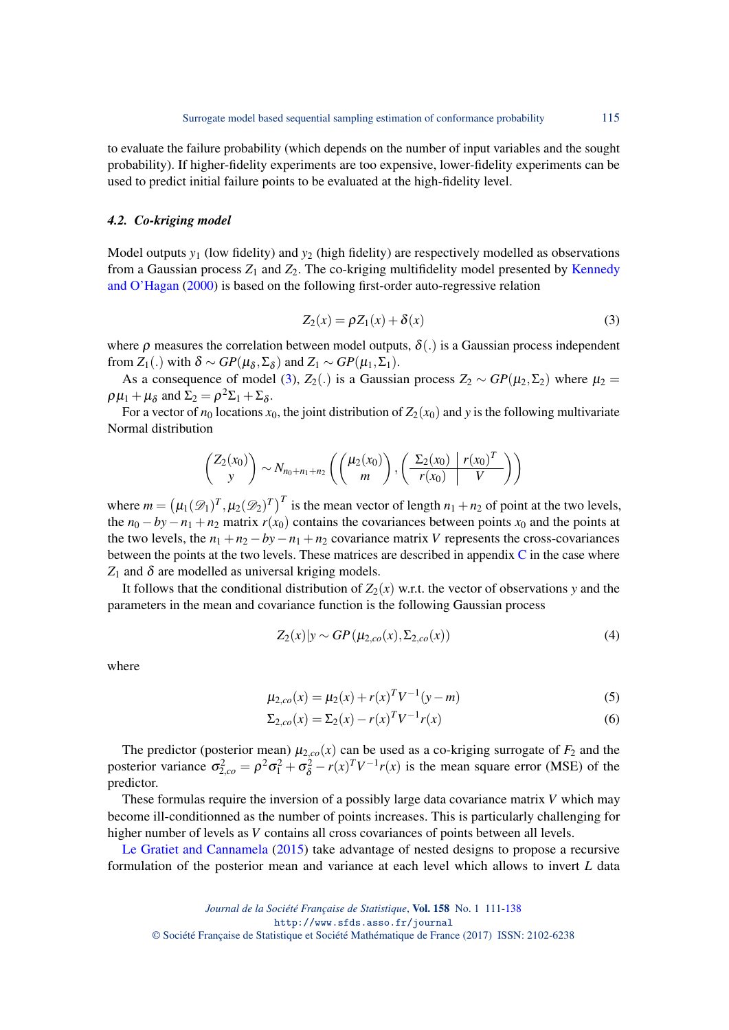to evaluate the failure probability (which depends on the number of input variables and the sought probability). If higher-fidelity experiments are too expensive, lower-fidelity experiments can be used to predict initial failure points to be evaluated at the high-fidelity level.

#### <span id="page-4-1"></span>*4.2. Co-kriging model*

Model outputs *y*<sup>1</sup> (low fidelity) and *y*<sup>2</sup> (high fidelity) are respectively modelled as observations from a Gaussian process  $Z_1$  and  $Z_2$ . The co-kriging multifidelity model presented by [Kennedy](#page-26-9) [and O'Hagan](#page-26-9) [\(2000\)](#page-26-9) is based on the following first-order auto-regressive relation

<span id="page-4-0"></span>
$$
Z_2(x) = \rho Z_1(x) + \delta(x) \tag{3}
$$

where  $\rho$  measures the correlation between model outputs,  $\delta(.)$  is a Gaussian process independent from  $Z_1(.)$  with  $\delta \sim GP(\mu_{\delta}, \Sigma_{\delta})$  and  $Z_1 \sim GP(\mu_1, \Sigma_1)$ .

As a consequence of model [\(3\)](#page-4-0),  $Z_2(.)$  is a Gaussian process  $Z_2 \sim GP(\mu_2, \Sigma_2)$  where  $\mu_2 =$  $\rho \mu_1 + \mu_\delta$  and  $\Sigma_2 = \rho^2 \Sigma_1 + \Sigma_\delta$ .

For a vector of  $n_0$  locations  $x_0$ , the joint distribution of  $Z_2(x_0)$  and y is the following multivariate Normal distribution

$$
\begin{pmatrix} Z_2(x_0) \\ y \end{pmatrix} \sim N_{n_0+n_1+n_2} \left( \begin{pmatrix} \mu_2(x_0) \\ m \end{pmatrix}, \begin{pmatrix} \frac{\Sigma_2(x_0)}{r(x_0)} & \frac{r(x_0)^T}{V} \end{pmatrix} \right)
$$

where  $m = (\mu_1(\mathcal{D}_1)^T, \mu_2(\mathcal{D}_2)^T)^T$  is the mean vector of length  $n_1 + n_2$  of point at the two levels, the  $n_0 - by -n_1 + n_2$  matrix  $r(x_0)$  contains the covariances between points  $x_0$  and the points at the two levels, the  $n_1 + n_2 - by - n_1 + n_2$  covariance matrix *V* represents the cross-covariances between the points at the two levels. These matrices are described in appendix [C](#page-25-2) in the case where  $Z_1$  and  $\delta$  are modelled as universal kriging models.

It follows that the conditional distribution of  $Z_2(x)$  w.r.t. the vector of observations *y* and the parameters in the mean and covariance function is the following Gaussian process

$$
Z_2(x)|y \sim GP(\mu_{2,co}(x), \Sigma_{2,co}(x))
$$
\n
$$
\tag{4}
$$

where

$$
\mu_{2,co}(x) = \mu_2(x) + r(x)^T V^{-1}(y - m)
$$
\n(5)

$$
\Sigma_{2,co}(x) = \Sigma_2(x) - r(x)^T V^{-1} r(x)
$$
\n(6)

The predictor (posterior mean)  $\mu_{2,co}(x)$  can be used as a co-kriging surrogate of  $F_2$  and the posterior variance  $\sigma_{2,co}^2 = \rho^2 \sigma_1^2 + \sigma_\delta^2 - r(x)^T V^{-1} r(x)$  is the mean square error (MSE) of the predictor.

These formulas require the inversion of a possibly large data covariance matrix *V* which may become ill-conditionned as the number of points increases. This is particularly challenging for higher number of levels as *V* contains all cross covariances of points between all levels.

[Le Gratiet and Cannamela](#page-26-10) [\(2015\)](#page-26-10) take advantage of nested designs to propose a recursive formulation of the posterior mean and variance at each level which allows to invert *L* data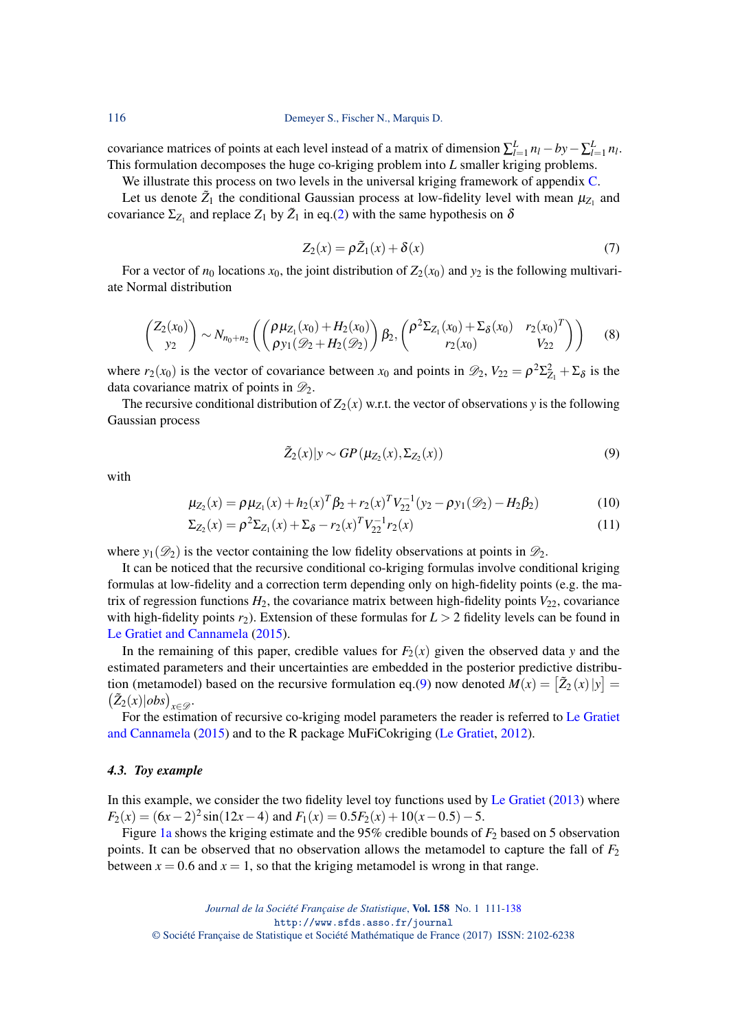116 Demeyer S., Fischer N., Marquis D.

covariance matrices of points at each level instead of a matrix of dimension  $\sum_{l=1}^{L} n_l - by - \sum_{l=1}^{L} n_l$ . This formulation decomposes the huge co-kriging problem into *L* smaller kriging problems.

We illustrate this process on two levels in the universal kriging framework of appendix [C.](#page-25-2)

Let us denote  $\tilde{Z}_1$  the conditional Gaussian process at low-fidelity level with mean  $\mu_{Z_1}$  and covariance  $\Sigma_{Z_1}$  and replace  $Z_1$  by  $\tilde{Z}_1$  in eq.[\(2\)](#page-3-0) with the same hypothesis on  $\delta$ 

$$
Z_2(x) = \rho \tilde{Z}_1(x) + \delta(x) \tag{7}
$$

For a vector of  $n_0$  locations  $x_0$ , the joint distribution of  $Z_2(x_0)$  and  $y_2$  is the following multivariate Normal distribution

$$
\begin{pmatrix} Z_2(x_0) \\ y_2 \end{pmatrix} \sim N_{n_0+n_2} \left( \begin{pmatrix} \rho \mu_{Z_1}(x_0) + H_2(x_0) \\ \rho y_1(\mathcal{D}_2 + H_2(\mathcal{D}_2)) \end{pmatrix} \beta_2, \begin{pmatrix} \rho^2 \Sigma_{Z_1}(x_0) + \Sigma_{\delta}(x_0) & r_2(x_0)^T \\ r_2(x_0) & V_{22} \end{pmatrix} \right) \tag{8}
$$

where  $r_2(x_0)$  is the vector of covariance between  $x_0$  and points in  $\mathscr{D}_2$ ,  $V_{22} = \rho^2 \Sigma_{Z_1}^2 + \Sigma_{\delta}$  is the data covariance matrix of points in  $\mathcal{D}_2$ .

The recursive conditional distribution of  $Z_2(x)$  w.r.t. the vector of observations *y* is the following Gaussian process

<span id="page-5-1"></span><span id="page-5-0"></span>
$$
\tilde{Z}_2(x)|y \sim GP(\mu_{Z_2}(x), \Sigma_{Z_2}(x))
$$
\n(9)

with

$$
\mu_{Z_2}(x) = \rho \mu_{Z_1}(x) + h_2(x)^T \beta_2 + r_2(x)^T V_{22}^{-1} (y_2 - \rho y_1(\mathcal{D}_2) - H_2 \beta_2)
$$
(10)

$$
\Sigma_{Z_2}(x) = \rho^2 \Sigma_{Z_1}(x) + \Sigma_{\delta} - r_2(x)^T V_{22}^{-1} r_2(x)
$$
\n(11)

where  $y_1(\mathcal{D}_2)$  is the vector containing the low fidelity observations at points in  $\mathcal{D}_2$ .

It can be noticed that the recursive conditional co-kriging formulas involve conditional kriging formulas at low-fidelity and a correction term depending only on high-fidelity points (e.g. the matrix of regression functions  $H_2$ , the covariance matrix between high-fidelity points  $V_{22}$ , covariance with high-fidelity points  $r_2$ ). Extension of these formulas for  $L > 2$  fidelity levels can be found in [Le Gratiet and Cannamela](#page-26-10) [\(2015\)](#page-26-10).

In the remaining of this paper, credible values for  $F_2(x)$  given the observed data y and the estimated parameters and their uncertainties are embedded in the posterior predictive distribu-tion (metamodel) based on the recursive formulation eq.[\(9\)](#page-5-0) now denoted  $M(x) = [\tilde{Z}_2(x)|y] =$  $(\tilde{Z}_2(x)|obs)_{x \in \mathscr{D}}$ .

For the estimation of recursive co-kriging model parameters the reader is referred to [Le Gratiet](#page-26-10) [and Cannamela](#page-26-10) [\(2015\)](#page-26-10) and to the R package MuFiCokriging [\(Le Gratiet,](#page-26-11) [2012\)](#page-26-11).

#### *4.3. Toy example*

In this example, we consider the two fidelity level toy functions used by [Le Gratiet](#page-26-12) [\(2013\)](#page-26-12) where  $F_2(x) = (6x-2)^2 \sin(12x-4)$  and  $F_1(x) = 0.5F_2(x) + 10(x-0.5) - 5$ .

Figure [1a](#page-6-0) shows the kriging estimate and the 95% credible bounds of *F*<sup>2</sup> based on 5 observation points. It can be observed that no observation allows the metamodel to capture the fall of  $F_2$ between  $x = 0.6$  and  $x = 1$ , so that the kriging metamodel is wrong in that range.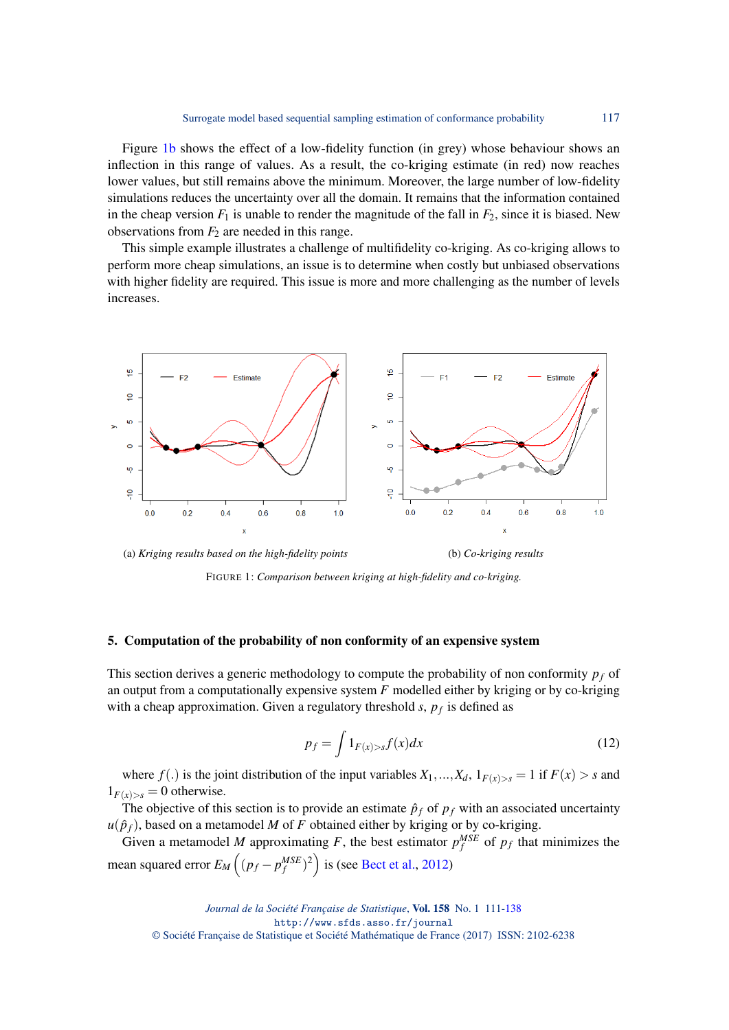Figure [1b](#page-6-0) shows the effect of a low-fidelity function (in grey) whose behaviour shows an inflection in this range of values. As a result, the co-kriging estimate (in red) now reaches lower values, but still remains above the minimum. Moreover, the large number of low-fidelity simulations reduces the uncertainty over all the domain. It remains that the information contained in the cheap version  $F_1$  is unable to render the magnitude of the fall in  $F_2$ , since it is biased. New observations from  $F_2$  are needed in this range.

This simple example illustrates a challenge of multifidelity co-kriging. As co-kriging allows to perform more cheap simulations, an issue is to determine when costly but unbiased observations with higher fidelity are required. This issue is more and more challenging as the number of levels increases.

<span id="page-6-0"></span>

(a) *Kriging results based on the high-fidelity points* (b) *Co-kriging results*

FIGURE 1: *Comparison between kriging at high-fidelity and co-kriging.*

#### <span id="page-6-1"></span>5. Computation of the probability of non conformity of an expensive system

This section derives a generic methodology to compute the probability of non conformity *p<sup>f</sup>* of an output from a computationally expensive system *F* modelled either by kriging or by co-kriging with a cheap approximation. Given a regulatory threshold *s*, *p<sup>f</sup>* is defined as

$$
p_f = \int 1_{F(x) > s} f(x) dx \tag{12}
$$

where  $f(.)$  is the joint distribution of the input variables  $X_1, ..., X_d, 1_{F(x)>s} = 1$  if  $F(x) > s$  and  $1_{F(x)>s} = 0$  otherwise.

The objective of this section is to provide an estimate  $\hat{p}_f$  of  $p_f$  with an associated uncertainty  $u(\hat{p}_f)$ , based on a metamodel *M* of *F* obtained either by kriging or by co-kriging.

Given a metamodel *M* approximating *F*, the best estimator  $p_f^{MSE}$  of  $p_f$  that minimizes the mean squared error  $E_M((p_f - p_f^{MSE})^2)$  is (see [Bect et al.,](#page-25-0) [2012\)](#page-25-0)

*Journal de la Société Française de Statistique*, Vol. 158 No. 1 111[-138](#page-27-0) http://www.sfds.asso.fr/journal © Société Française de Statistique et Société Mathématique de France (2017) ISSN: 2102-6238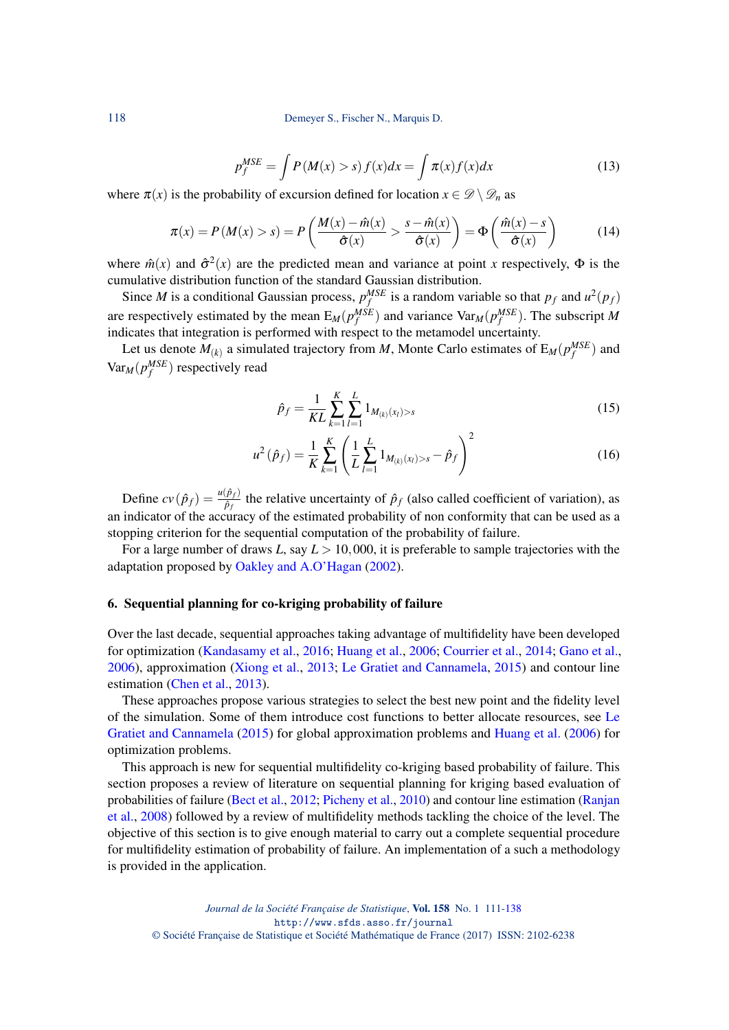118 Demeyer S., Fischer N., Marquis D.

$$
p_f^{MSE} = \int P(M(x) > s) f(x) dx = \int \pi(x) f(x) dx \tag{13}
$$

where  $\pi(x)$  is the probability of excursion defined for location  $x \in \mathcal{D} \setminus \mathcal{D}_n$  as

$$
\pi(x) = P(M(x) > s) = P\left(\frac{M(x) - \hat{m}(x)}{\hat{\sigma}(x)} > \frac{s - \hat{m}(x)}{\hat{\sigma}(x)}\right) = \Phi\left(\frac{\hat{m}(x) - s}{\hat{\sigma}(x)}\right)
$$
(14)

where  $\hat{m}(x)$  and  $\hat{\sigma}^2(x)$  are the predicted mean and variance at point *x* respectively,  $\Phi$  is the cumulative distribution function of the standard Gaussian distribution.

Since *M* is a conditional Gaussian process,  $p_f^{MSE}$  is a random variable so that  $p_f$  and  $u^2(p_f)$ are respectively estimated by the mean  $E_M(p_f^{MSE})$  and variance  $Var_M(p_f^{MSE})$ . The subscript M indicates that integration is performed with respect to the metamodel uncertainty.

Let us denote  $M_{(k)}$  a simulated trajectory from *M*, Monte Carlo estimates of  $E_M(p_f^{MSE})$  and  $Var_M(p_f^{MSE})$  respectively read

$$
\hat{p}_f = \frac{1}{KL} \sum_{k=1}^{K} \sum_{l=1}^{L} 1_{M_{(k)}(x_l) > s} \tag{15}
$$

$$
u^{2}(\hat{p}_{f}) = \frac{1}{K} \sum_{k=1}^{K} \left( \frac{1}{L} \sum_{l=1}^{L} 1_{M_{(k)}(x_{l}) > s} - \hat{p}_{f} \right)^{2}
$$
(16)

Define  $cv(\hat{p}_f) = \frac{u(\hat{p}_f)}{\hat{p}_f}$  the relative uncertainty of  $\hat{p}_f$  (also called coefficient of variation), as an indicator of the accuracy of the estimated probability of non conformity that can be used as a stopping criterion for the sequential computation of the probability of failure.

For a large number of draws *L*, say *L* > 10,000, it is preferable to sample trajectories with the adaptation proposed by [Oakley and A.O'Hagan](#page-26-13) [\(2002\)](#page-26-13).

#### 6. Sequential planning for co-kriging probability of failure

Over the last decade, sequential approaches taking advantage of multifidelity have been developed for optimization [\(Kandasamy et al.,](#page-26-14) [2016;](#page-26-14) [Huang et al.,](#page-26-15) [2006;](#page-26-15) [Courrier et al.,](#page-26-16) [2014;](#page-26-16) [Gano et al.,](#page-26-17) [2006\)](#page-26-17), approximation [\(Xiong et al.,](#page-27-6) [2013;](#page-27-6) [Le Gratiet and Cannamela,](#page-26-10) [2015\)](#page-26-10) and contour line estimation [\(Chen et al.,](#page-25-3) [2013\)](#page-25-3).

These approaches propose various strategies to select the best new point and the fidelity level of the simulation. Some of them introduce cost functions to better allocate resources, see [Le](#page-26-10) [Gratiet and Cannamela](#page-26-10) [\(2015\)](#page-26-10) for global approximation problems and [Huang et al.](#page-26-15) [\(2006\)](#page-26-15) for optimization problems.

This approach is new for sequential multifidelity co-kriging based probability of failure. This section proposes a review of literature on sequential planning for kriging based evaluation of probabilities of failure [\(Bect et al.,](#page-25-0) [2012;](#page-25-0) [Picheny et al.,](#page-26-7) [2010\)](#page-26-7) and contour line estimation [\(Ranjan](#page-27-7) [et al.,](#page-27-7) [2008\)](#page-27-7) followed by a review of multifidelity methods tackling the choice of the level. The objective of this section is to give enough material to carry out a complete sequential procedure for multifidelity estimation of probability of failure. An implementation of a such a methodology is provided in the application.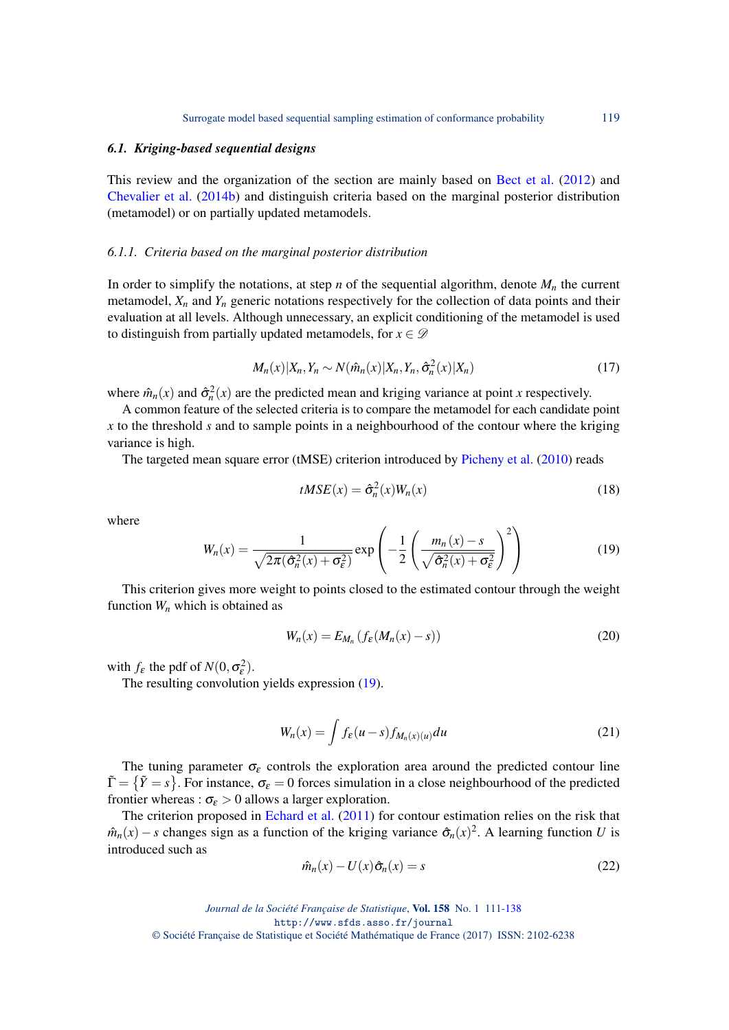#### <span id="page-8-1"></span>*6.1. Kriging-based sequential designs*

This review and the organization of the section are mainly based on [Bect et al.](#page-25-0) [\(2012\)](#page-25-0) and [Chevalier et al.](#page-26-18) [\(2014b\)](#page-26-18) and distinguish criteria based on the marginal posterior distribution (metamodel) or on partially updated metamodels.

#### *6.1.1. Criteria based on the marginal posterior distribution*

In order to simplify the notations, at step *n* of the sequential algorithm, denote  $M_n$  the current metamodel,  $X_n$  and  $Y_n$  generic notations respectively for the collection of data points and their evaluation at all levels. Although unnecessary, an explicit conditioning of the metamodel is used to distinguish from partially updated metamodels, for  $x \in \mathcal{D}$ 

$$
M_n(x)|X_n, Y_n \sim N(\hat{m}_n(x)|X_n, Y_n, \hat{\sigma}_n^2(x)|X_n)
$$
\n(17)

where  $\hat{m}_n(x)$  and  $\hat{\sigma}_n^2(x)$  are the predicted mean and kriging variance at point *x* respectively.

A common feature of the selected criteria is to compare the metamodel for each candidate point *x* to the threshold *s* and to sample points in a neighbourhood of the contour where the kriging variance is high.

The targeted mean square error (tMSE) criterion introduced by [Picheny et al.](#page-26-7) [\(2010\)](#page-26-7) reads

$$
tMSE(x) = \hat{\sigma}_n^2(x)W_n(x)
$$
\n(18)

where

<span id="page-8-0"></span>
$$
W_n(x) = \frac{1}{\sqrt{2\pi(\hat{\sigma}_n^2(x) + \sigma_\varepsilon^2)}} \exp\left(-\frac{1}{2}\left(\frac{m_n(x) - s}{\sqrt{\hat{\sigma}_n^2(x) + \sigma_\varepsilon^2}}\right)^2\right)
$$
(19)

This criterion gives more weight to points closed to the estimated contour through the weight function *W<sup>n</sup>* which is obtained as

$$
W_n(x) = E_{M_n} \left( f_{\varepsilon} (M_n(x) - s) \right) \tag{20}
$$

with  $f_{\varepsilon}$  the pdf of  $N(0, \sigma_{\varepsilon}^2)$ .

The resulting convolution yields expression [\(19\)](#page-8-0).

$$
W_n(x) = \int f_{\varepsilon}(u-s) f_{M_n(x)(u)} du \tag{21}
$$

The tuning parameter  $\sigma_{\varepsilon}$  controls the exploration area around the predicted contour line  $\tilde{\Gamma} = \{\tilde{Y} = s\}$ . For instance,  $\sigma_{\varepsilon} = 0$  forces simulation in a close neighbourhood of the predicted frontier whereas :  $\sigma_{\epsilon} > 0$  allows a larger exploration.

The criterion proposed in [Echard et al.](#page-26-19) [\(2011\)](#page-26-19) for contour estimation relies on the risk that  $\hat{m}_n(x) - s$  changes sign as a function of the kriging variance  $\hat{\sigma}_n(x)^2$ . A learning function *U* is introduced such as

$$
\hat{m}_n(x) - U(x)\hat{\sigma}_n(x) = s \tag{22}
$$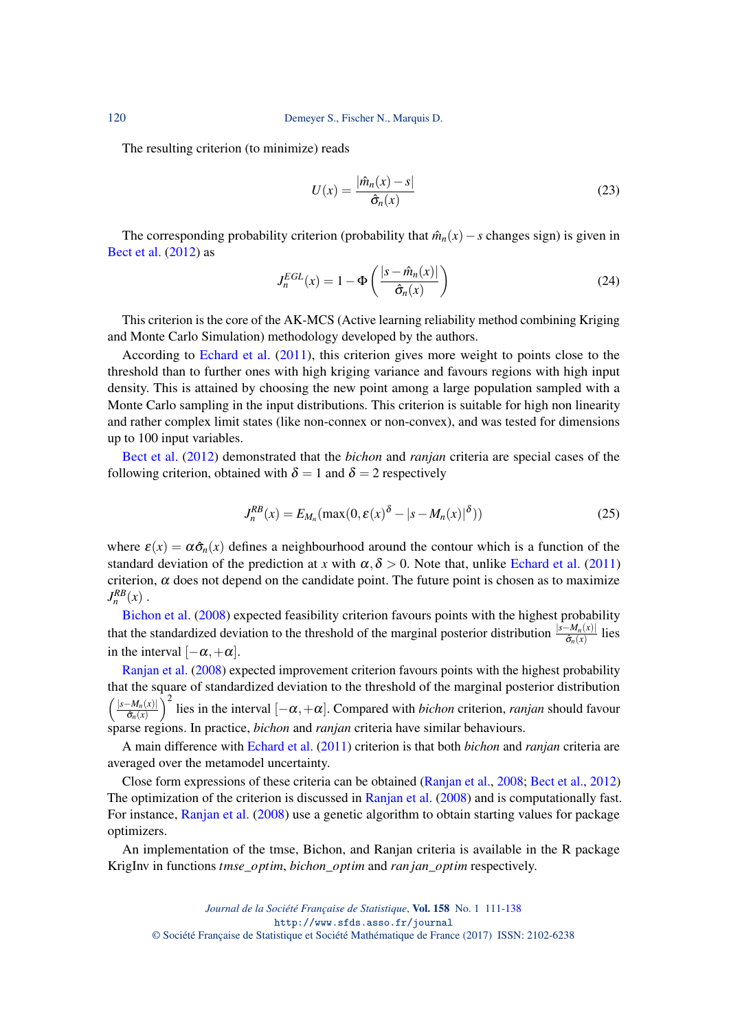The resulting criterion (to minimize) reads

$$
U(x) = \frac{|\hat{m}_n(x) - s|}{\hat{\sigma}_n(x)}
$$
(23)

The corresponding probability criterion (probability that  $\hat{m}_n(x) - s$  changes sign) is given in [Bect et al.](#page-25-0) [\(2012\)](#page-25-0) as

$$
J_n^{EGL}(x) = 1 - \Phi\left(\frac{|s - \hat{m}_n(x)|}{\hat{\sigma}_n(x)}\right)
$$
 (24)

This criterion is the core of the AK-MCS (Active learning reliability method combining Kriging and Monte Carlo Simulation) methodology developed by the authors.

According to [Echard et al.](#page-26-19) [\(2011\)](#page-26-19), this criterion gives more weight to points close to the threshold than to further ones with high kriging variance and favours regions with high input density. This is attained by choosing the new point among a large population sampled with a Monte Carlo sampling in the input distributions. This criterion is suitable for high non linearity and rather complex limit states (like non-connex or non-convex), and was tested for dimensions up to 100 input variables.

[Bect et al.](#page-25-0) [\(2012\)](#page-25-0) demonstrated that the *bichon* and *ranjan* criteria are special cases of the following criterion, obtained with  $\delta = 1$  and  $\delta = 2$  respectively

$$
J_n^{RB}(x) = E_{M_n}(\max(0, \varepsilon(x)^{\delta} - |s - M_n(x)|^{\delta}))
$$
\n(25)

where  $\varepsilon(x) = \alpha \hat{\sigma}_n(x)$  defines a neighbourhood around the contour which is a function of the standard deviation of the prediction at *x* with  $\alpha, \delta > 0$ . Note that, unlike [Echard et al.](#page-26-19) [\(2011\)](#page-26-19) criterion,  $\alpha$  does not depend on the candidate point. The future point is chosen as to maximize  $J_n^{RB}(x)$ .

[Bichon et al.](#page-25-4) [\(2008\)](#page-25-4) expected feasibility criterion favours points with the highest probability that the standardized deviation to the threshold of the marginal posterior distribution  $\frac{|s-M_n(x)|}{\hat{\sigma}_n(x)}$  lies in the interval  $[-\alpha, +\alpha]$ .

[Ranjan et al.](#page-27-7) [\(2008\)](#page-27-7) expected improvement criterion favours points with the highest probability that the square of standardized deviation to the threshold of the marginal posterior distribution  $\int$  |*s*−*M<sub>n</sub>*(*x*)|  $\hat{\sigma}_n(x)$  $\int_0^2$  lies in the interval  $[-\alpha, +\alpha]$ . Compared with *bichon* criterion, *ranjan* should favour sparse regions. In practice, *bichon* and *ranjan* criteria have similar behaviours.

A main difference with [Echard et al.](#page-26-19) [\(2011\)](#page-26-19) criterion is that both *bichon* and *ranjan* criteria are averaged over the metamodel uncertainty.

Close form expressions of these criteria can be obtained [\(Ranjan et al.,](#page-27-7) [2008;](#page-27-7) [Bect et al.,](#page-25-0) [2012\)](#page-25-0) The optimization of the criterion is discussed in [Ranjan et al.](#page-27-7) [\(2008\)](#page-27-7) and is computationally fast. For instance, [Ranjan et al.](#page-27-7) [\(2008\)](#page-27-7) use a genetic algorithm to obtain starting values for package optimizers.

An implementation of the tmse, Bichon, and Ranjan criteria is available in the R package KrigInv in functions *tmse*\_*optim*, *bichon*\_*optim* and *ran jan*\_*optim* respectively.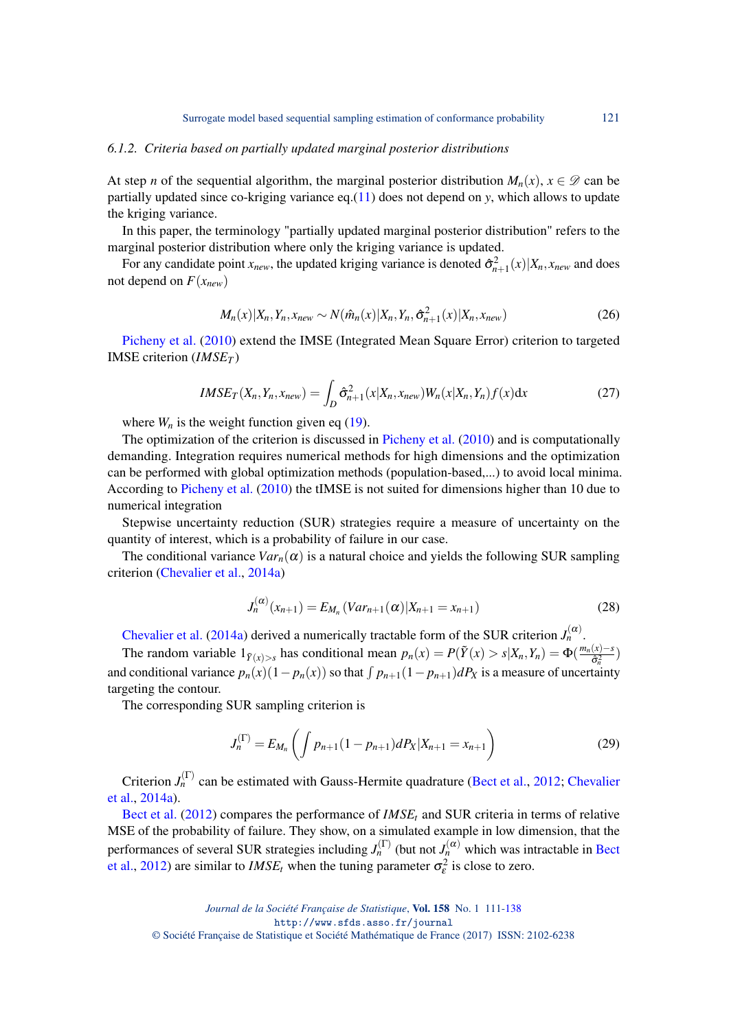#### *6.1.2. Criteria based on partially updated marginal posterior distributions*

At step *n* of the sequential algorithm, the marginal posterior distribution  $M_n(x)$ ,  $x \in \mathcal{D}$  can be partially updated since co-kriging variance eq.[\(11\)](#page-5-1) does not depend on *y*, which allows to update the kriging variance.

In this paper, the terminology "partially updated marginal posterior distribution" refers to the marginal posterior distribution where only the kriging variance is updated.

For any candidate point  $x_{new}$ , the updated kriging variance is denoted  $\hat{\sigma}_{n+1}^2(x)|X_n, x_{new}$  and does not depend on  $F(x_{new})$ 

$$
M_n(x)|X_n, Y_n, x_{new} \sim N(\hat{m}_n(x)|X_n, Y_n, \hat{\sigma}_{n+1}^2(x)|X_n, x_{new})
$$
\n(26)

[Picheny et al.](#page-26-7) [\(2010\)](#page-26-7) extend the IMSE (Integrated Mean Square Error) criterion to targeted IMSE criterion (*IMSE<sup>T</sup>* )

$$
IMSE_T(X_n, Y_n, x_{new}) = \int_D \hat{\sigma}_{n+1}^2(x|X_n, x_{new}) W_n(x|X_n, Y_n) f(x) dx \qquad (27)
$$

where  $W_n$  is the weight function given eq [\(19\)](#page-8-0).

The optimization of the criterion is discussed in [Picheny et al.](#page-26-7) [\(2010\)](#page-26-7) and is computationally demanding. Integration requires numerical methods for high dimensions and the optimization can be performed with global optimization methods (population-based,...) to avoid local minima. According to [Picheny et al.](#page-26-7) [\(2010\)](#page-26-7) the tIMSE is not suited for dimensions higher than 10 due to numerical integration

Stepwise uncertainty reduction (SUR) strategies require a measure of uncertainty on the quantity of interest, which is a probability of failure in our case.

The conditional variance  $Var_n(\alpha)$  is a natural choice and yields the following SUR sampling criterion [\(Chevalier et al.,](#page-25-5) [2014a\)](#page-25-5)

$$
J_n^{(\alpha)}(x_{n+1}) = E_{M_n}(Var_{n+1}(\alpha)|X_{n+1} = x_{n+1})
$$
\n(28)

[Chevalier et al.](#page-25-5) [\(2014a\)](#page-25-5) derived a numerically tractable form of the SUR criterion  $J_n^{(\alpha)}$ .

The random variable  $1_{\tilde{Y}(x)>s}$  has conditional mean  $p_n(x) = P(\tilde{Y}(x) > s | X_n, Y_n) = \Phi(\frac{m_n(x)-s}{\hat{\sigma}_n^2})$  $\frac{(x)-s}{\hat{\sigma}_n^2}$ and conditional variance  $p_n(x)(1 - p_n(x))$  so that  $\int p_{n+1}(1 - p_{n+1})dP_X$  is a measure of uncertainty targeting the contour.

The corresponding SUR sampling criterion is

$$
J_n^{(\Gamma)} = E_{M_n} \left( \int p_{n+1} (1 - p_{n+1}) dP_X | X_{n+1} = x_{n+1} \right) \tag{29}
$$

Criterion  $J_n^{(\Gamma)}$  can be estimated with Gauss-Hermite quadrature [\(Bect et al.,](#page-25-0) [2012;](#page-25-0) [Chevalier](#page-25-5) [et al.,](#page-25-5) [2014a\)](#page-25-5).

[Bect et al.](#page-25-0) [\(2012\)](#page-25-0) compares the performance of *IMSE<sup>t</sup>* and SUR criteria in terms of relative MSE of the probability of failure. They show, on a simulated example in low dimension, that the performances of several SUR strategies including  $J_n^{(\Gamma)}$  (but not  $J_n^{(\alpha)}$  which was intractable in [Bect](#page-25-0) [et al.,](#page-25-0) [2012\)](#page-25-0) are similar to *IMSE<sub>t</sub>* when the tuning parameter  $\sigma_{\varepsilon}^2$  is close to zero.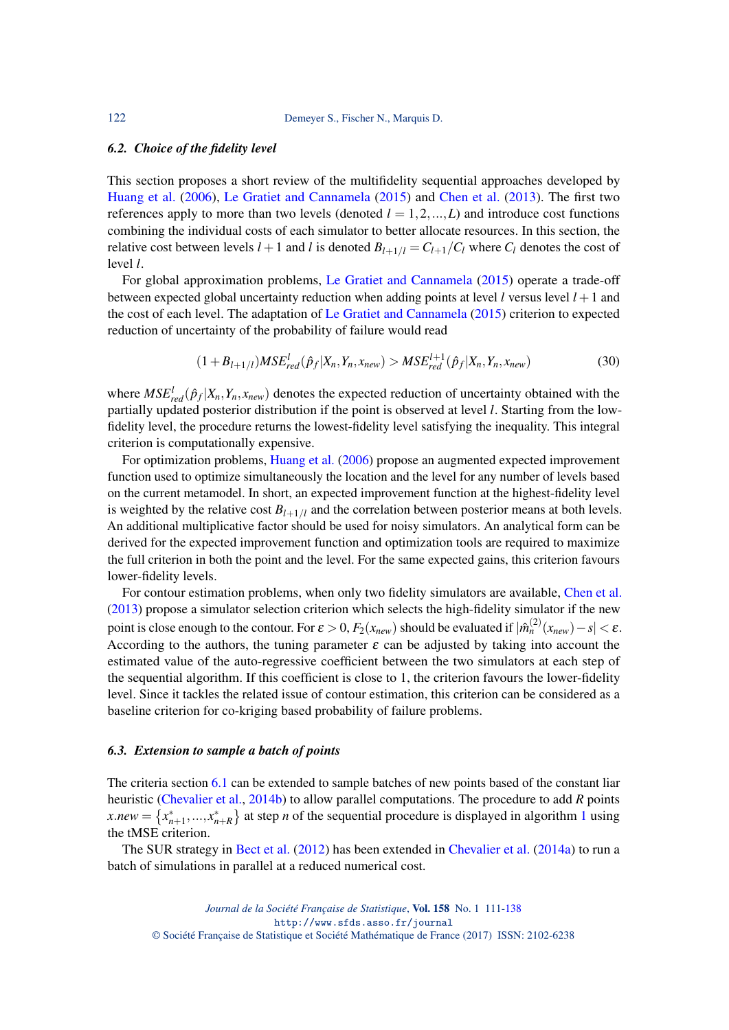#### *6.2. Choice of the fidelity level*

This section proposes a short review of the multifidelity sequential approaches developed by [Huang et al.](#page-26-15) [\(2006\)](#page-26-15), [Le Gratiet and Cannamela](#page-26-10) [\(2015\)](#page-26-10) and [Chen et al.](#page-25-3) [\(2013\)](#page-25-3). The first two references apply to more than two levels (denoted  $l = 1, 2, ..., L$ ) and introduce cost functions combining the individual costs of each simulator to better allocate resources. In this section, the relative cost between levels  $l + 1$  and  $l$  is denoted  $B_{l+1/l} = C_{l+1}/C_l$  where  $C_l$  denotes the cost of level *l*.

For global approximation problems, [Le Gratiet and Cannamela](#page-26-10) [\(2015\)](#page-26-10) operate a trade-off between expected global uncertainty reduction when adding points at level *l* versus level  $l + 1$  and the cost of each level. The adaptation of [Le Gratiet and Cannamela](#page-26-10) [\(2015\)](#page-26-10) criterion to expected reduction of uncertainty of the probability of failure would read

$$
(1 + B_{l+1/l})MSE_{red}^{l}(\hat{p}_f | X_n, Y_n, x_{new}) > MSE_{red}^{l+1}(\hat{p}_f | X_n, Y_n, x_{new})
$$
\n(30)

where  $MSE<sup>l</sup><sub>red</sub>( $\hat{p}_f$ | $X_n, Y_n, x_{new}$ ) denotes the expected reduction of uncertainty obtained with the$ partially updated posterior distribution if the point is observed at level *l*. Starting from the lowfidelity level, the procedure returns the lowest-fidelity level satisfying the inequality. This integral criterion is computationally expensive.

For optimization problems, [Huang et al.](#page-26-15) [\(2006\)](#page-26-15) propose an augmented expected improvement function used to optimize simultaneously the location and the level for any number of levels based on the current metamodel. In short, an expected improvement function at the highest-fidelity level is weighted by the relative cost  $B_{l+1/l}$  and the correlation between posterior means at both levels. An additional multiplicative factor should be used for noisy simulators. An analytical form can be derived for the expected improvement function and optimization tools are required to maximize the full criterion in both the point and the level. For the same expected gains, this criterion favours lower-fidelity levels.

For contour estimation problems, when only two fidelity simulators are available, [Chen et al.](#page-25-3) [\(2013\)](#page-25-3) propose a simulator selection criterion which selects the high-fidelity simulator if the new point is close enough to the contour. For  $\varepsilon > 0$ ,  $F_2(x_{new})$  should be evaluated if  $|\hat{m}_n^{(2)}(x_{new}) - s| < \varepsilon$ . According to the authors, the tuning parameter  $\varepsilon$  can be adjusted by taking into account the estimated value of the auto-regressive coefficient between the two simulators at each step of the sequential algorithm. If this coefficient is close to 1, the criterion favours the lower-fidelity level. Since it tackles the related issue of contour estimation, this criterion can be considered as a baseline criterion for co-kriging based probability of failure problems.

#### *6.3. Extension to sample a batch of points*

The criteria section [6.1](#page-8-1) can be extended to sample batches of new points based of the constant liar heuristic [\(Chevalier et al.,](#page-26-18) [2014b\)](#page-26-18) to allow parallel computations. The procedure to add *R* points  $x.new = \{x_{n+1}^*,...,x_{n+R}^*\}$  $x.new = \{x_{n+1}^*,...,x_{n+R}^*\}$  $x.new = \{x_{n+1}^*,...,x_{n+R}^*\}$  at step *n* of the sequential procedure is displayed in algorithm 1 using the tMSE criterion.

The SUR strategy in [Bect et al.](#page-25-0) [\(2012\)](#page-25-0) has been extended in [Chevalier et al.](#page-25-5) [\(2014a\)](#page-25-5) to run a batch of simulations in parallel at a reduced numerical cost.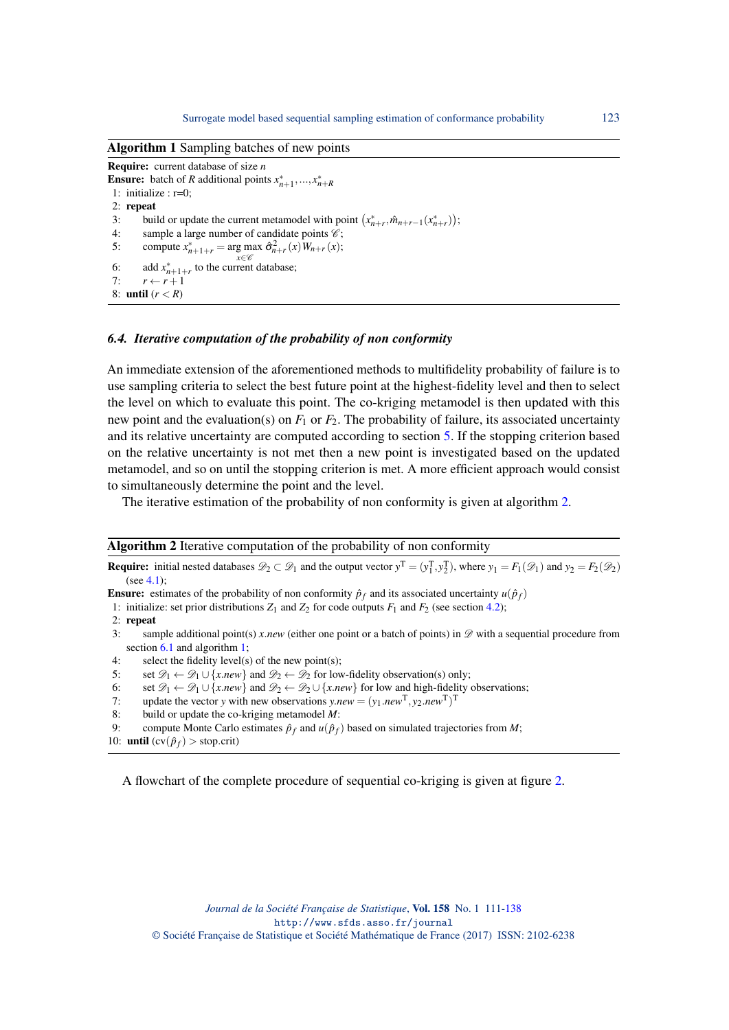<span id="page-12-0"></span>Algorithm 1 Sampling batches of new points Require: current database of size *n* **Ensure:** batch of *R* additional points  $x_{n+1}^*$ , ...,  $x_{n+R}^*$ 1: initialize : r=0; 2: repeat 3: build or update the current metamodel with point  $(x_{n+r}^*, \hat{m}_{n+r-1}(x_{n+r}^*))$ ; 4: sample a large number of candidate points  $\mathscr{C}$ ; 5: compute  $x_{n+1+r}^* = \arg \max_{x \in \mathcal{C}_n} \hat{\sigma}_{n+r}^2(x) W_{n+r}(x);$ *x*∈C 6: add  $x_{n+1+r}^*$  to the current database; 7:  $r \leftarrow r+1$ 8: **until**  $(r < R)$ 

#### *6.4. Iterative computation of the probability of non conformity*

An immediate extension of the aforementioned methods to multifidelity probability of failure is to use sampling criteria to select the best future point at the highest-fidelity level and then to select the level on which to evaluate this point. The co-kriging metamodel is then updated with this new point and the evaluation(s) on *F*<sup>1</sup> or *F*2. The probability of failure, its associated uncertainty and its relative uncertainty are computed according to section [5.](#page-6-1) If the stopping criterion based on the relative uncertainty is not met then a new point is investigated based on the updated metamodel, and so on until the stopping criterion is met. A more efficient approach would consist to simultaneously determine the point and the level.

The iterative estimation of the probability of non conformity is given at algorithm [2.](#page-12-1)

<span id="page-12-1"></span>

| <b>Algorithm 2</b> Iterative computation of the probability of non conformity                                                                                                                                  |
|----------------------------------------------------------------------------------------------------------------------------------------------------------------------------------------------------------------|
| <b>Require:</b> initial nested databases $\mathcal{D}_2 \subset \mathcal{D}_1$ and the output vector $y^T = (y_1^T, y_2^T)$ , where $y_1 = F_1(\mathcal{D}_1)$ and $y_2 = F_2(\mathcal{D}_2)$<br>(see $4.1$ ): |
| <b>Ensure:</b> estimates of the probability of non conformity $\hat{p}_f$ and its associated uncertainty $u(\hat{p}_f)$                                                                                        |
| 1: initialize: set prior distributions $Z_1$ and $Z_2$ for code outputs $F_1$ and $F_2$ (see section 4.2);                                                                                                     |
| $2:$ repeat                                                                                                                                                                                                    |
| sample additional point(s) x.new (either one point or a batch of points) in $\mathscr D$ with a sequential procedure from<br>3:                                                                                |
| section $6.1$ and algorithm 1;                                                                                                                                                                                 |
| select the fidelity level(s) of the new point(s);<br>4:                                                                                                                                                        |
| set $\mathcal{D}_1 \leftarrow \mathcal{D}_1 \cup \{x.new\}$ and $\mathcal{D}_2 \leftarrow \mathcal{D}_2$ for low-fidelity observation(s) only;<br>5:                                                           |
| set $\mathscr{D}_1 \leftarrow \mathscr{D}_1 \cup \{x.new\}$ and $\mathscr{D}_2 \leftarrow \mathscr{D}_2 \cup \{x.new\}$ for low and high-fidelity observations;<br>6:                                          |
| update the vector y with new observations $y.new = (y_1.new^T, y_2.new^T)^T$<br>7:                                                                                                                             |
|                                                                                                                                                                                                                |

8: build or update the co-kriging metamodel *M*:

9: compute Monte Carlo estimates  $\hat{p}_f$  and  $u(\hat{p}_f)$  based on simulated trajectories from *M*;

10: **until**  $\left(\text{cv}(\hat{p}_f) > \text{stop.crit}\right)$ 

A flowchart of the complete procedure of sequential co-kriging is given at figure [2.](#page-13-0)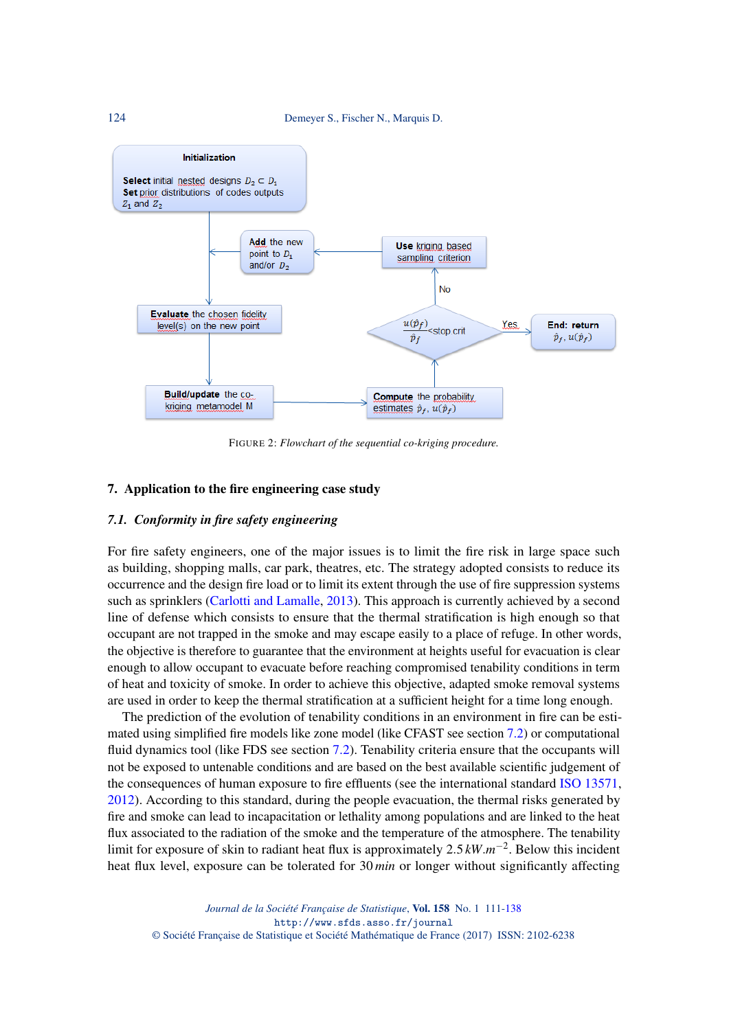<span id="page-13-0"></span>

FIGURE 2: *Flowchart of the sequential co-kriging procedure.*

### 7. Application to the fire engineering case study

#### *7.1. Conformity in fire safety engineering*

For fire safety engineers, one of the major issues is to limit the fire risk in large space such as building, shopping malls, car park, theatres, etc. The strategy adopted consists to reduce its occurrence and the design fire load or to limit its extent through the use of fire suppression systems such as sprinklers [\(Carlotti and Lamalle,](#page-25-6) [2013\)](#page-25-6). This approach is currently achieved by a second line of defense which consists to ensure that the thermal stratification is high enough so that occupant are not trapped in the smoke and may escape easily to a place of refuge. In other words, the objective is therefore to guarantee that the environment at heights useful for evacuation is clear enough to allow occupant to evacuate before reaching compromised tenability conditions in term of heat and toxicity of smoke. In order to achieve this objective, adapted smoke removal systems are used in order to keep the thermal stratification at a sufficient height for a time long enough.

The prediction of the evolution of tenability conditions in an environment in fire can be esti-mated using simplified fire models like zone model (like CFAST see section [7.2\)](#page-14-0) or computational fluid dynamics tool (like FDS see section [7.2\)](#page-14-0). Tenability criteria ensure that the occupants will not be exposed to untenable conditions and are based on the best available scientific judgement of the consequences of human exposure to fire effluents (see the international standard [ISO 13571,](#page-26-20) [2012\)](#page-26-20). According to this standard, during the people evacuation, the thermal risks generated by fire and smoke can lead to incapacitation or lethality among populations and are linked to the heat flux associated to the radiation of the smoke and the temperature of the atmosphere. The tenability limit for exposure of skin to radiant heat flux is approximately 2.5 *kW*.*m* −2 . Below this incident heat flux level, exposure can be tolerated for 30 *min* or longer without significantly affecting

*Journal de la Société Française de Statistique*, Vol. 158 No. 1 111[-138](#page-27-0) http://www.sfds.asso.fr/journal © Société Française de Statistique et Société Mathématique de France (2017) ISSN: 2102-6238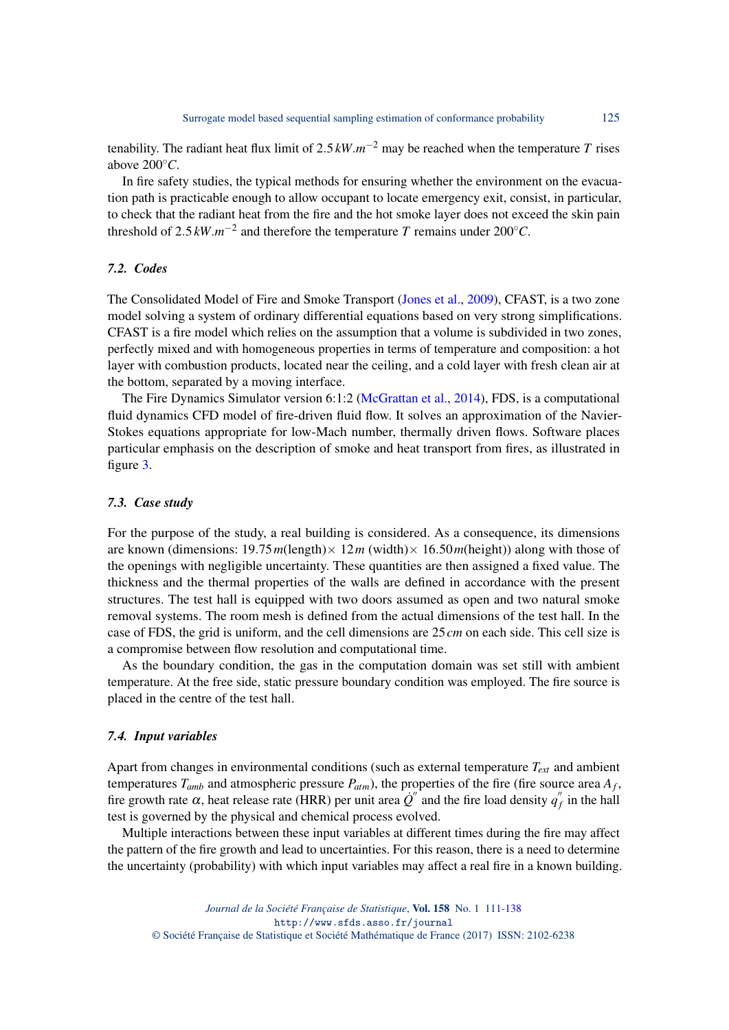tenability. The radiant heat flux limit of 2.5 *kW*.*m* <sup>−</sup><sup>2</sup> may be reached when the temperature *T* rises above  $200^{\circ}C$ .

In fire safety studies, the typical methods for ensuring whether the environment on the evacuation path is practicable enough to allow occupant to locate emergency exit, consist, in particular, to check that the radiant heat from the fire and the hot smoke layer does not exceed the skin pain threshold of 2.5  $kW.m^{-2}$  and therefore the temperature *T* remains under 200°*C*.

#### <span id="page-14-0"></span>*7.2. Codes*

The Consolidated Model of Fire and Smoke Transport [\(Jones et al.,](#page-26-21) [2009\)](#page-26-21), CFAST, is a two zone model solving a system of ordinary differential equations based on very strong simplifications. CFAST is a fire model which relies on the assumption that a volume is subdivided in two zones, perfectly mixed and with homogeneous properties in terms of temperature and composition: a hot layer with combustion products, located near the ceiling, and a cold layer with fresh clean air at the bottom, separated by a moving interface.

The Fire Dynamics Simulator version 6:1:2 [\(McGrattan et al.,](#page-26-22) [2014\)](#page-26-22), FDS, is a computational fluid dynamics CFD model of fire-driven fluid flow. It solves an approximation of the Navier-Stokes equations appropriate for low-Mach number, thermally driven flows. Software places particular emphasis on the description of smoke and heat transport from fires, as illustrated in figure [3.](#page-15-0)

#### *7.3. Case study*

For the purpose of the study, a real building is considered. As a consequence, its dimensions are known (dimensions:  $19.75 m$ (length) ×  $12m$  (width) ×  $16.50m$ (height)) along with those ofthe openings with negligible uncertainty. These quantities are then assigned a fixed value. The thickness and the thermal properties of the walls are defined in accordance with the present structures. The test hall is equipped with two doors assumed as open and two natural smoke removal systems. The room mesh is defined from the actual dimensions of the test hall. In the case of FDS, the grid is uniform, and the cell dimensions are 25*cm* on each side. This cell size is a compromise between flow resolution and computational time.

As the boundary condition, the gas in the computation domain was set still with ambient temperature. At the free side, static pressure boundary condition was employed. The fire source is placed in the centre of the test hall.

#### *7.4. Input variables*

Apart from changes in environmental conditions (such as external temperature *Text* and ambient temperatures  $T_{amb}$  and atmospheric pressure  $P_{atm}$ ), the properties of the fire (fire source area  $A_f$ , fire growth rate  $\alpha$ , heat release rate (HRR) per unit area  $Q^{n}$  and the fire load density  $q_1^{\prime\prime}$  $f$ <sup> $f$ </sup> in the hall test is governed by the physical and chemical process evolved.

Multiple interactions between these input variables at different times during the fire may affect the pattern of the fire growth and lead to uncertainties. For this reason, there is a need to determine the uncertainty (probability) with which input variables may affect a real fire in a known building.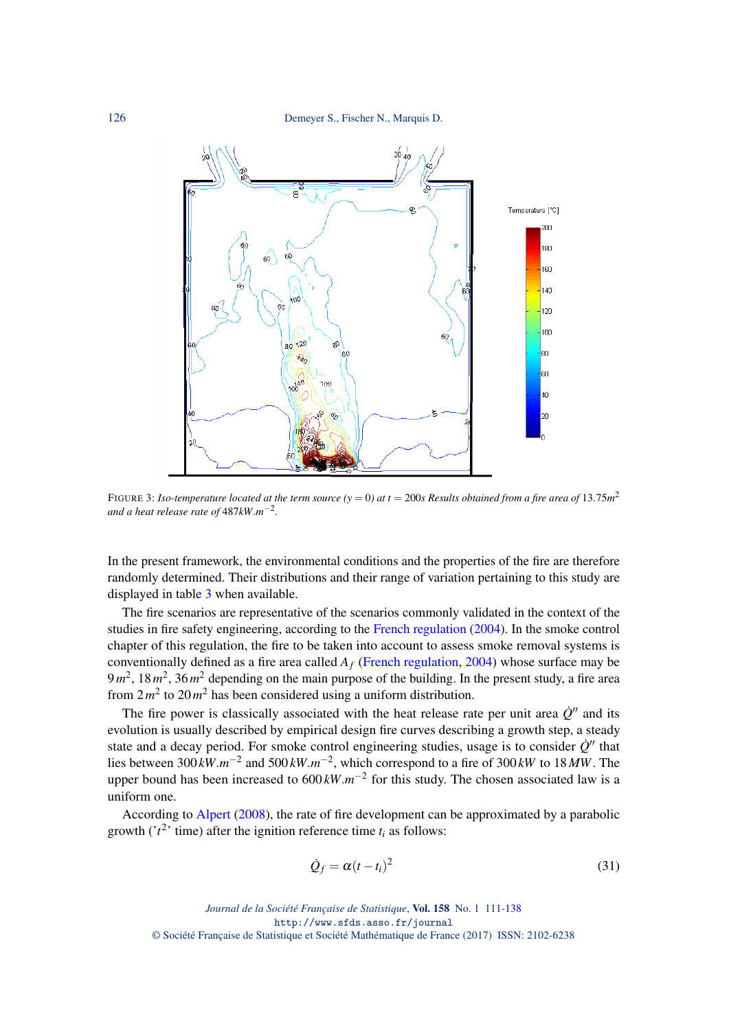<span id="page-15-0"></span>126 Demeyer S., Fischer N., Marquis D.



FIGURE 3: Iso-temperature located at the term source ( $y = 0$ ) at t = 200s Results obtained from a fire area of  $13.75m^2$ *and a heat release rate of* 487*kW*.*m* −2 *.*

In the present framework, the environmental conditions and the properties of the fire are therefore randomly determined. Their distributions and their range of variation pertaining to this study are displayed in table [3](#page-20-0) when available.

The fire scenarios are representative of the scenarios commonly validated in the context of the studies in fire safety engineering, according to the [French regulation](#page-26-23) [\(2004\)](#page-26-23). In the smoke control chapter of this regulation, the fire to be taken into account to assess smoke removal systems is conventionally defined as a fire area called *A<sup>f</sup>* [\(French regulation,](#page-26-23) [2004\)](#page-26-23) whose surface may be 9 m<sup>2</sup>, 18 m<sup>2</sup>, 36 m<sup>2</sup> depending on the main purpose of the building. In the present study, a fire area from  $2m^2$  to  $20m^2$  has been considered using a uniform distribution.

The fire power is classically associated with the heat release rate per unit area  $\dot{Q}^{\prime\prime}$  and its evolution is usually described by empirical design fire curves describing a growth step, a steady state and a decay period. For smoke control engineering studies, usage is to consider  $\dot{Q}^{\prime\prime}$  that lies between 300 *kW*.*m*<sup>−2</sup> and 500 *kW*.*m*<sup>−2</sup>, which correspond to a fire of 300 *kW* to 18 *MW*. The upper bound has been increased to 600 kW. $m^{-2}$  for this study. The chosen associated law is a uniform one.

According to [Alpert](#page-25-7) [\(2008\)](#page-25-7), the rate of fire development can be approximated by a parabolic growth ( $i^2$ <sup>,</sup> time) after the ignition reference time  $t_i$  as follows:

$$
\dot{Q}_f = \alpha (t - t_i)^2 \tag{31}
$$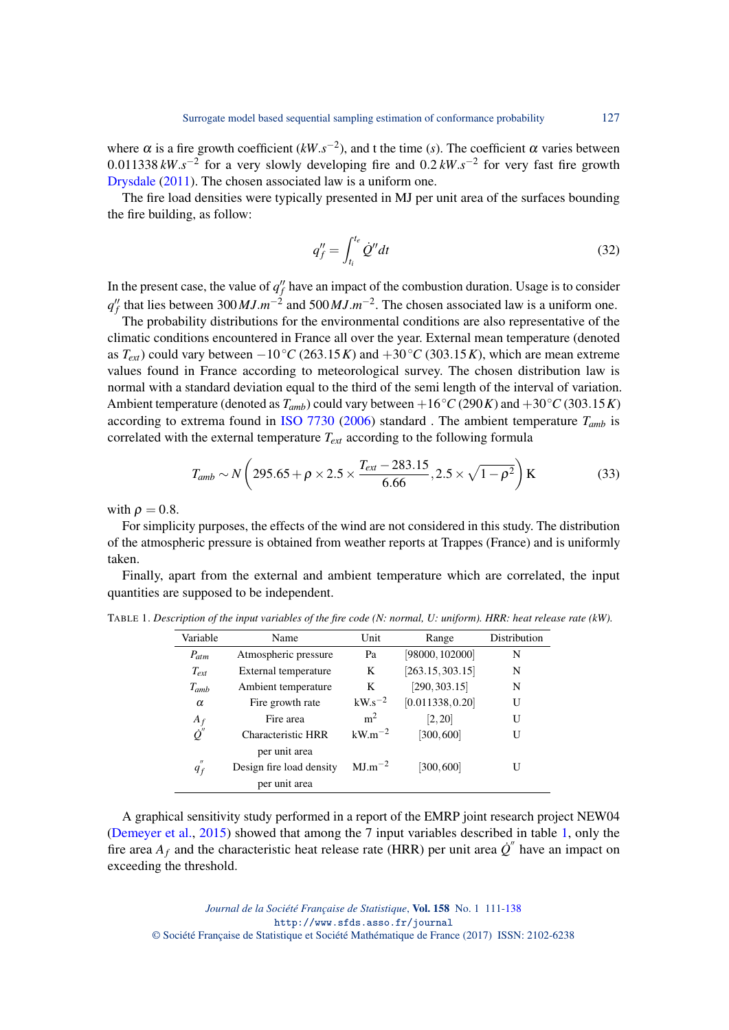where  $\alpha$  is a fire growth coefficient ( $kW.s^{-2}$ ), and t the time (*s*). The coefficient  $\alpha$  varies between 0.011338  $kW \cdot s^{-2}$  for a very slowly developing fire and 0.2  $kW \cdot s^{-2}$  for very fast fire growth [Drysdale](#page-26-24) [\(2011\)](#page-26-24). The chosen associated law is a uniform one.

The fire load densities were typically presented in MJ per unit area of the surfaces bounding the fire building, as follow:

$$
q_f'' = \int_{t_i}^{t_e} \dot{Q}'' dt
$$
\n(32)

In the present case, the value of  $q_f^{\prime\prime}$  have an impact of the combustion duration. Usage is to consider  $q_f''$  that lies between 300 *MJ*.*m*<sup>-2</sup> and 500 *MJ*.*m*<sup>-2</sup>. The chosen associated law is a uniform one.

The probability distributions for the environmental conditions are also representative of the climatic conditions encountered in France all over the year. External mean temperature (denoted as  $T_{ext}$ ) could vary between  $-10\degree C$  (263.15*K*) and  $+30\degree C$  (303.15*K*), which are mean extreme values found in France according to meteorological survey. The chosen distribution law is normal with a standard deviation equal to the third of the semi length of the interval of variation. Ambient temperature (denoted as  $T_{amb}$ ) could vary between +16°*C* (290*K*) and +30°*C* (303.15*K*) according to extrema found in [ISO 7730](#page-26-25) [\(2006\)](#page-26-25) standard. The ambient temperature  $T_{amb}$  is correlated with the external temperature *Text* according to the following formula

$$
T_{amb} \sim N\left(295.65 + \rho \times 2.5 \times \frac{T_{ext} - 283.15}{6.66}, 2.5 \times \sqrt{1 - \rho^2}\right) \text{K}
$$
 (33)

with  $\rho = 0.8$ .

For simplicity purposes, the effects of the wind are not considered in this study. The distribution of the atmospheric pressure is obtained from weather reports at Trappes (France) and is uniformly taken.

Finally, apart from the external and ambient temperature which are correlated, the input quantities are supposed to be independent.

| Variable                   | Name                      | Unit           | Range            | Distribution |
|----------------------------|---------------------------|----------------|------------------|--------------|
| $P_{atm}$                  | Atmospheric pressure      | Pa             | [98000, 102000]  | N            |
| $T_{ext}$                  | External temperature      | K              | [263.15, 303.15] | N            |
| $T_{amb}$                  | Ambient temperature       | K              | [290, 303.15]    | N            |
| $\alpha$                   | Fire growth rate          | $kW.s^{-2}$    | [0.011338, 0.20] | U            |
| $A_f$                      | Fire area                 | m <sup>2</sup> | [2, 20]          | U            |
| $\dot{\varrho}$ "          | <b>Characteristic HRR</b> | $kW.m^{-2}$    | [300, 600]       | U            |
|                            | per unit area             |                |                  |              |
| $^{\prime\prime}$<br>$q_f$ | Design fire load density  | $MJ.m^{-2}$    | [300, 600]       | U            |
|                            | per unit area             |                |                  |              |

<span id="page-16-0"></span>TABLE 1. *Description of the input variables of the fire code (N: normal, U: uniform). HRR: heat release rate (kW).*

A graphical sensitivity study performed in a report of the EMRP joint research project NEW04 [\(Demeyer et al.,](#page-26-26) [2015\)](#page-26-26) showed that among the 7 input variables described in table [1,](#page-16-0) only the fire area  $A_f$  and the characteristic heat release rate (HRR) per unit area  $\dot{Q}^{\prime\prime}$  have an impact on exceeding the threshold.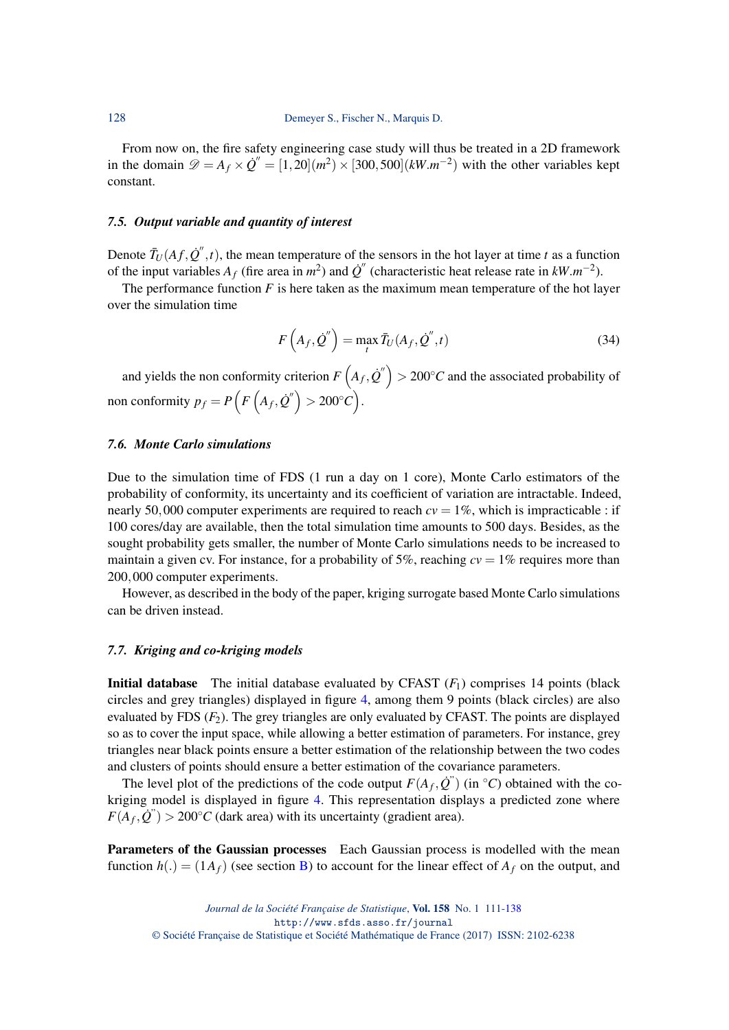From now on, the fire safety engineering case study will thus be treated in a 2D framework in the domain  $\mathcal{D} = A_f \times \dot{Q}'' = [1, 20](m^2) \times [300, 500](kW \cdot m^{-2})$  with the other variables kept constant.

#### *7.5. Output variable and quantity of interest*

Denote  $\bar{T}_U(Af, \dot{Q}'', t)$ , the mean temperature of the sensors in the hot layer at time *t* as a function of the input variables  $A_f$  (fire area in  $m^2$ ) and  $\dot{Q}$ <sup>"</sup> (characteristic heat release rate in  $kW.m^{-2}$ ).

The performance function  $F$  is here taken as the maximum mean temperature of the hot layer over the simulation time

$$
F\left(A_f, \dot{Q}''\right) = \max_t \bar{T}_U(A_f, \dot{Q}'', t) \tag{34}
$$

and yields the non conformity criterion  $F\left(A_f, \dot{Q}''\right) > 200\textdegree C$  and the associated probability of non conformity  $p_f = P\left(F\left(A_f, \dot{Q}''\right) > 200^{\circ}C\right)$ .

#### *7.6. Monte Carlo simulations*

Due to the simulation time of FDS (1 run a day on 1 core), Monte Carlo estimators of the probability of conformity, its uncertainty and its coefficient of variation are intractable. Indeed, nearly 50,000 computer experiments are required to reach  $cv = 1\%$ , which is impracticable : if 100 cores/day are available, then the total simulation time amounts to 500 days. Besides, as the sought probability gets smaller, the number of Monte Carlo simulations needs to be increased to maintain a given cv. For instance, for a probability of 5%, reaching  $cv = 1\%$  requires more than 200,000 computer experiments.

However, as described in the body of the paper, kriging surrogate based Monte Carlo simulations can be driven instead.

#### *7.7. Kriging and co-kriging models*

Initial database The initial database evaluated by CFAST (*F*1) comprises 14 points (black circles and grey triangles) displayed in figure [4,](#page-18-0) among them 9 points (black circles) are also evaluated by FDS  $(F_2)$ . The grey triangles are only evaluated by CFAST. The points are displayed so as to cover the input space, while allowing a better estimation of parameters. For instance, grey triangles near black points ensure a better estimation of the relationship between the two codes and clusters of points should ensure a better estimation of the covariance parameters.

The level plot of the predictions of the code output  $F(A_f, \dot{Q}^r)$  (in  $\degree C$ ) obtained with the cokriging model is displayed in figure [4.](#page-18-0) This representation displays a predicted zone where  $F(A_f, \dot{Q}^{\prime\prime}) > 200^{\circ}C$  (dark area) with its uncertainty (gradient area).

Parameters of the Gaussian processes Each Gaussian process is modelled with the mean function  $h(.) = (1A_f)$  (see section [B\)](#page-23-1) to account for the linear effect of  $A_f$  on the output, and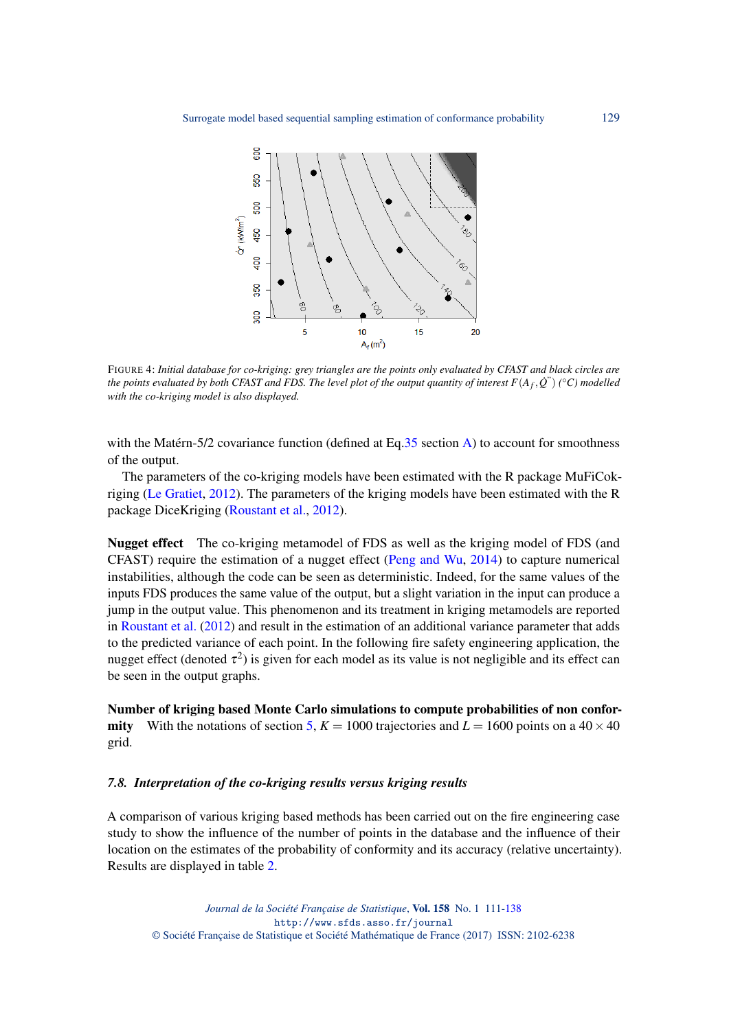<span id="page-18-0"></span>

FIGURE 4: *Initial database for co-kriging: grey triangles are the points only evaluated by CFAST and black circles are the points evaluated by both CFAST and FDS. The level plot of the output quantity of interest*  $F(A_f, \dot{Q}^r)$  *(°C) modelled with the co-kriging model is also displayed.*

with the Matérn-5/2 covariance function (defined at Eq[.35](#page-23-2) section [A\)](#page-23-0) to account for smoothness of the output.

The parameters of the co-kriging models have been estimated with the R package MuFiCokriging [\(Le Gratiet,](#page-26-11) [2012\)](#page-26-11). The parameters of the kriging models have been estimated with the R package DiceKriging [\(Roustant et al.,](#page-27-8) [2012\)](#page-27-8).

Nugget effect The co-kriging metamodel of FDS as well as the kriging model of FDS (and CFAST) require the estimation of a nugget effect [\(Peng and Wu,](#page-26-27) [2014\)](#page-26-27) to capture numerical instabilities, although the code can be seen as deterministic. Indeed, for the same values of the inputs FDS produces the same value of the output, but a slight variation in the input can produce a jump in the output value. This phenomenon and its treatment in kriging metamodels are reported in [Roustant et al.](#page-27-8) [\(2012\)](#page-27-8) and result in the estimation of an additional variance parameter that adds to the predicted variance of each point. In the following fire safety engineering application, the nugget effect (denoted  $\tau^2$ ) is given for each model as its value is not negligible and its effect can be seen in the output graphs.

Number of kriging based Monte Carlo simulations to compute probabilities of non confor**mity** With the notations of section [5,](#page-6-1)  $K = 1000$  trajectories and  $L = 1600$  points on a 40  $\times$  40 grid.

#### *7.8. Interpretation of the co-kriging results versus kriging results*

A comparison of various kriging based methods has been carried out on the fire engineering case study to show the influence of the number of points in the database and the influence of their location on the estimates of the probability of conformity and its accuracy (relative uncertainty). Results are displayed in table [2.](#page-20-1)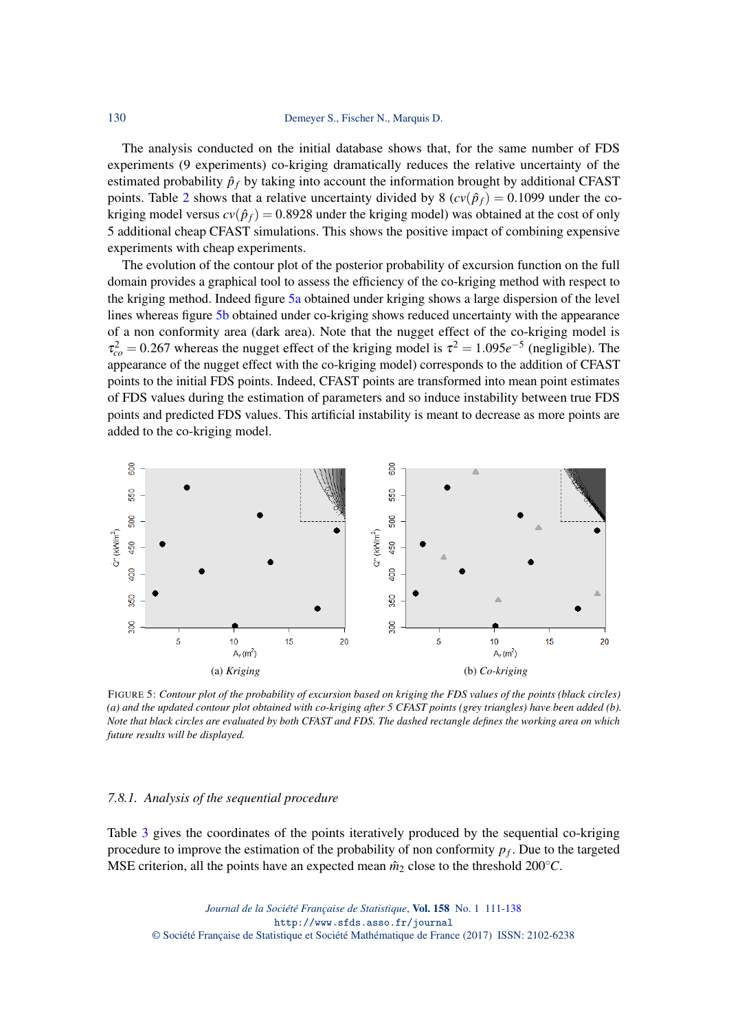The analysis conducted on the initial database shows that, for the same number of FDS experiments (9 experiments) co-kriging dramatically reduces the relative uncertainty of the estimated probability  $\hat{p}_f$  by taking into account the information brought by additional CFAST points. Table [2](#page-20-1) shows that a relative uncertainty divided by 8 ( $cv(\hat{p}_f) = 0.1099$  under the cokriging model versus  $cv(\hat{p}_f) = 0.8928$  under the kriging model) was obtained at the cost of only 5 additional cheap CFAST simulations. This shows the positive impact of combining expensive experiments with cheap experiments.

The evolution of the contour plot of the posterior probability of excursion function on the full domain provides a graphical tool to assess the efficiency of the co-kriging method with respect to the kriging method. Indeed figure [5a](#page-19-0) obtained under kriging shows a large dispersion of the level lines whereas figure [5b](#page-19-0) obtained under co-kriging shows reduced uncertainty with the appearance of a non conformity area (dark area). Note that the nugget effect of the co-kriging model is  $\tau_{co}^2 = 0.267$  whereas the nugget effect of the kriging model is  $\tau^2 = 1.095e^{-5}$  (negligible). The appearance of the nugget effect with the co-kriging model) corresponds to the addition of CFAST points to the initial FDS points. Indeed, CFAST points are transformed into mean point estimates of FDS values during the estimation of parameters and so induce instability between true FDS points and predicted FDS values. This artificial instability is meant to decrease as more points are added to the co-kriging model.

<span id="page-19-0"></span>

FIGURE 5: *Contour plot of the probability of excursion based on kriging the FDS values of the points (black circles) (a) and the updated contour plot obtained with co-kriging after 5 CFAST points (grey triangles) have been added (b). Note that black circles are evaluated by both CFAST and FDS. The dashed rectangle defines the working area on which future results will be displayed.*

#### *7.8.1. Analysis of the sequential procedure*

Table [3](#page-20-0) gives the coordinates of the points iteratively produced by the sequential co-kriging procedure to improve the estimation of the probability of non conformity *p<sup>f</sup>* . Due to the targeted MSE criterion, all the points have an expected mean  $\hat{m}_2$  close to the threshold 200°*C*.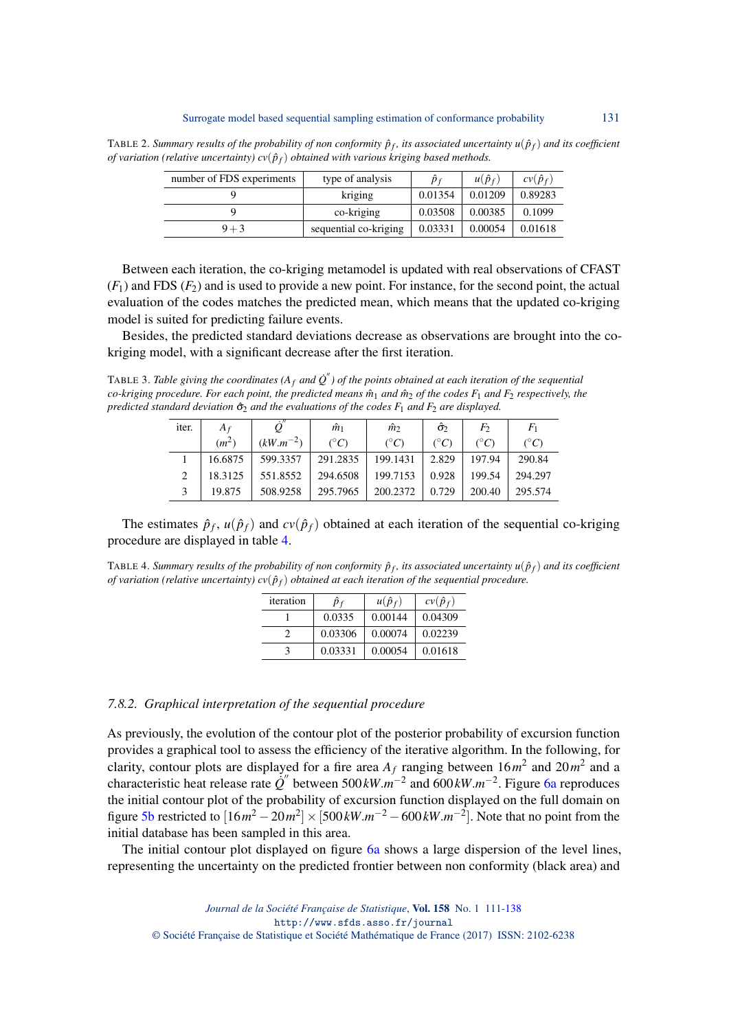<span id="page-20-1"></span>TABLE 2. Summary results of the probability of non conformity  $\hat{p}_f$ , its associated uncertainty  $u(\hat{p}_f)$  and its coefficient *of variation (relative uncertainty)*  $cv(\hat{p}_f)$  *obtained with various kriging based methods.* 

| number of FDS experiments | type of analysis      | $\hat{p}_f$ | $u(\hat{p}_f)$ | $cv(\hat{p}_f)$ |
|---------------------------|-----------------------|-------------|----------------|-----------------|
|                           | kriging               | 0.01354     | 0.01209        | 0.89283         |
|                           | co-kriging            | 0.03508     | 0.00385        | 0.1099          |
| $9 + 3$                   | sequential co-kriging | 0.03331     | 0.00054        | 0.01618         |

Between each iteration, the co-kriging metamodel is updated with real observations of CFAST  $(F_1)$  and FDS  $(F_2)$  and is used to provide a new point. For instance, for the second point, the actual evaluation of the codes matches the predicted mean, which means that the updated co-kriging model is suited for predicting failure events.

Besides, the predicted standard deviations decrease as observations are brought into the cokriging model, with a significant decrease after the first iteration.

<span id="page-20-0"></span>TABLE 3. *Table giving the coordinates* ( $A_f$  *and*  $\dot{Q}''$ ) of the points obtained at each iteration of the sequential *co-kriging procedure. For each point, the predicted means m*ˆ <sup>1</sup> *and m*ˆ <sup>2</sup> *of the codes F*<sup>1</sup> *and F*<sup>2</sup> *respectively, the predicted standard deviation*  $\hat{\sigma}_2$  *and the evaluations of the codes*  $F_1$  *and*  $F_2$  *are displayed.* 

| iter. | $A_f$   |               | $\hat{m}_1$   | $\hat{m}_2$   | $\hat{\sigma}_2$ | F2            | $F_{1}$         |
|-------|---------|---------------|---------------|---------------|------------------|---------------|-----------------|
|       | $(m^2)$ | $(kW.m^{-2})$ | $(^{\circ}C)$ | $(^{\circ}C)$ | $(^{\circ}C)$    | $(^{\circ}C)$ | $({}^{\circ}C)$ |
|       | 16.6875 | 599.3357      | 291.2835      | 199.1431      | 2.829            | 197.94        | 290.84          |
|       | 18.3125 | 551.8552      | 294.6508      | 199.7153      | 0.928            | 199.54        | 294.297         |
|       | 19.875  | 508.9258      | 295.7965      | 200.2372      | 0.729            | 200.40        | 295.574         |

The estimates  $\hat{p}_f$ ,  $u(\hat{p}_f)$  and  $cv(\hat{p}_f)$  obtained at each iteration of the sequential co-kriging procedure are displayed in table [4.](#page-20-2)

<span id="page-20-2"></span>TABLE 4. Summary results of the probability of non conformity  $\hat{p}_f$ , its associated uncertainty  $u(\hat{p}_f)$  and its coefficient *of variation (relative uncertainty)*  $cv(\hat{p}_f)$  *obtained at each iteration of the sequential procedure.* 

| iteration | $\hat{p}_f$ | $u(\hat{p}_f)$ | $cv(\hat{p}_f)$ |
|-----------|-------------|----------------|-----------------|
|           | 0.0335      | 0.00144        | 0.04309         |
|           | 0.03306     | 0.00074        | 0.02239         |
|           | 0.03331     | 0.00054        | 0.01618         |

#### *7.8.2. Graphical interpretation of the sequential procedure*

As previously, the evolution of the contour plot of the posterior probability of excursion function provides a graphical tool to assess the efficiency of the iterative algorithm. In the following, for clarity, contour plots are displayed for a fire area  $A_f$  ranging between  $16m^2$  and  $20m^2$  and a characteristic heat release rate  $\dot{Q}''$  between 500 kW. $m^{-2}$  and 600 kW. $m^{-2}$ . Figure [6a](#page-21-0) reproduces the initial contour plot of the probability of excursion function displayed on the full domain on figure [5b](#page-19-0) restricted to  $[16m^2 - 20m^2] \times [500 \, kW \cdot m^{-2} - 600 \, kW \cdot m^{-2}]$ . Note that no point from the initial database has been sampled in this area.

The initial contour plot displayed on figure [6a](#page-21-0) shows a large dispersion of the level lines, representing the uncertainty on the predicted frontier between non conformity (black area) and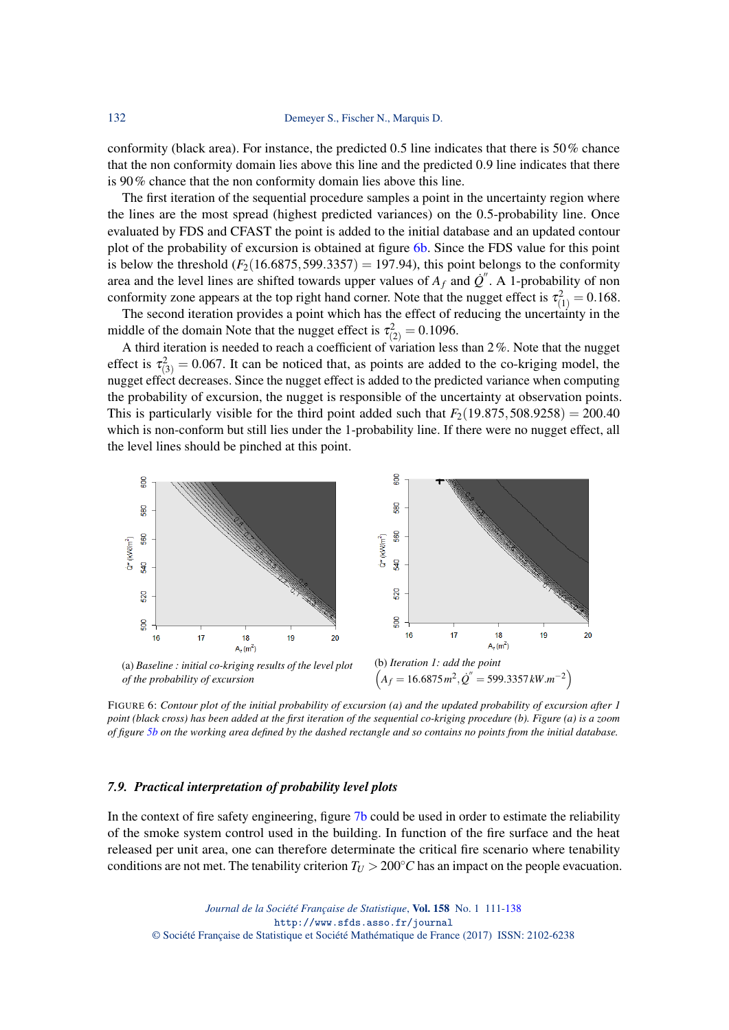conformity (black area). For instance, the predicted 0.5 line indicates that there is 50% chance that the non conformity domain lies above this line and the predicted 0.9 line indicates that there is 90% chance that the non conformity domain lies above this line.

The first iteration of the sequential procedure samples a point in the uncertainty region where the lines are the most spread (highest predicted variances) on the 0.5-probability line. Once evaluated by FDS and CFAST the point is added to the initial database and an updated contour plot of the probability of excursion is obtained at figure [6b.](#page-21-0) Since the FDS value for this point is below the threshold  $(F_2(16.6875, 599.3357) = 197.94)$ , this point belongs to the conformity area and the level lines are shifted towards upper values of  $A_f$  and  $\dot{Q}^{\prime\prime}$ . A 1-probability of non conformity zone appears at the top right hand corner. Note that the nugget effect is  $\tau_{(1)}^2 = 0.168$ .

The second iteration provides a point which has the effect of reducing the uncertainty in the middle of the domain Note that the nugget effect is  $\tau_{(2)}^2 = 0.1096$ .

A third iteration is needed to reach a coefficient of variation less than 2%. Note that the nugget effect is  $\tau_{(3)}^2 = 0.067$ . It can be noticed that, as points are added to the co-kriging model, the nugget effect decreases. Since the nugget effect is added to the predicted variance when computing the probability of excursion, the nugget is responsible of the uncertainty at observation points. This is particularly visible for the third point added such that  $F_2(19.875,508.9258) = 200.40$ which is non-conform but still lies under the 1-probability line. If there were no nugget effect, all the level lines should be pinched at this point.

<span id="page-21-0"></span>

FIGURE 6: *Contour plot of the initial probability of excursion (a) and the updated probability of excursion after 1 point (black cross) has been added at the first iteration of the sequential co-kriging procedure (b). Figure (a) is a zoom of figure [5b](#page-19-0) on the working area defined by the dashed rectangle and so contains no points from the initial database.*

#### *7.9. Practical interpretation of probability level plots*

In the context of fire safety engineering, figure [7b](#page-22-0) could be used in order to estimate the reliability of the smoke system control used in the building. In function of the fire surface and the heat released per unit area, one can therefore determinate the critical fire scenario where tenability conditions are not met. The tenability criterion  $T_U > 200$ °*C* has an impact on the people evacuation.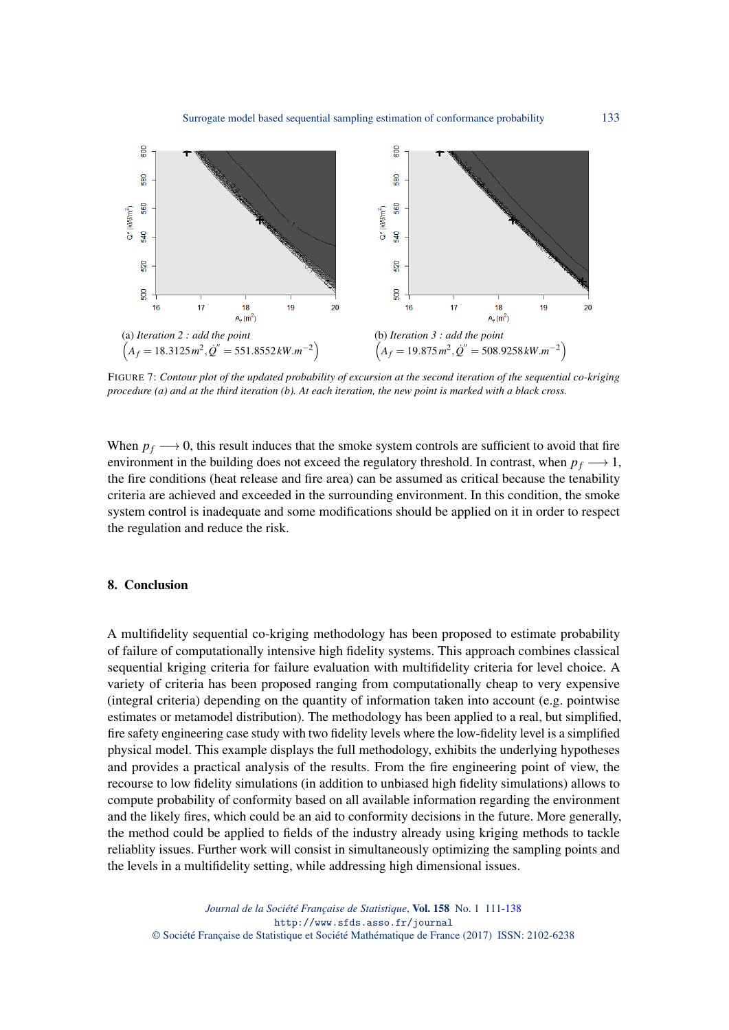<span id="page-22-0"></span>

FIGURE 7: *Contour plot of the updated probability of excursion at the second iteration of the sequential co-kriging procedure (a) and at the third iteration (b). At each iteration, the new point is marked with a black cross.*

When  $p_f \rightarrow 0$ , this result induces that the smoke system controls are sufficient to avoid that fire environment in the building does not exceed the regulatory threshold. In contrast, when  $p_f \rightarrow 1$ , the fire conditions (heat release and fire area) can be assumed as critical because the tenability criteria are achieved and exceeded in the surrounding environment. In this condition, the smoke system control is inadequate and some modifications should be applied on it in order to respect the regulation and reduce the risk.

### 8. Conclusion

A multifidelity sequential co-kriging methodology has been proposed to estimate probability of failure of computationally intensive high fidelity systems. This approach combines classical sequential kriging criteria for failure evaluation with multifidelity criteria for level choice. A variety of criteria has been proposed ranging from computationally cheap to very expensive (integral criteria) depending on the quantity of information taken into account (e.g. pointwise estimates or metamodel distribution). The methodology has been applied to a real, but simplified, fire safety engineering case study with two fidelity levels where the low-fidelity level is a simplified physical model. This example displays the full methodology, exhibits the underlying hypotheses and provides a practical analysis of the results. From the fire engineering point of view, the recourse to low fidelity simulations (in addition to unbiased high fidelity simulations) allows to compute probability of conformity based on all available information regarding the environment and the likely fires, which could be an aid to conformity decisions in the future. More generally, the method could be applied to fields of the industry already using kriging methods to tackle reliablity issues. Further work will consist in simultaneously optimizing the sampling points and the levels in a multifidelity setting, while addressing high dimensional issues.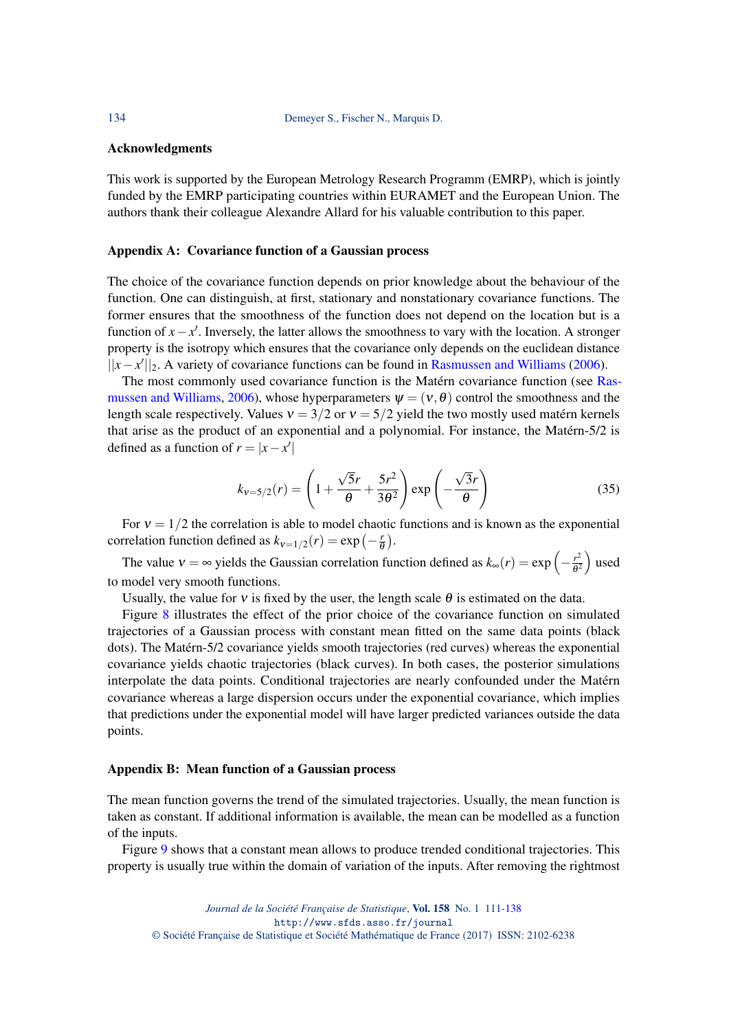134 Demeyer S., Fischer N., Marquis D.

#### Acknowledgments

This work is supported by the European Metrology Research Programm (EMRP), which is jointly funded by the EMRP participating countries within EURAMET and the European Union. The authors thank their colleague Alexandre Allard for his valuable contribution to this paper.

#### <span id="page-23-0"></span>Appendix A: Covariance function of a Gaussian process

The choice of the covariance function depends on prior knowledge about the behaviour of the function. One can distinguish, at first, stationary and nonstationary covariance functions. The former ensures that the smoothness of the function does not depend on the location but is a function of  $x - x'$ . Inversely, the latter allows the smoothness to vary with the location. A stronger property is the isotropy which ensures that the covariance only depends on the euclidean distance ||*x* − *x*'||<sub>2</sub>. A variety of covariance functions can be found in [Rasmussen and Williams](#page-27-5) [\(2006\)](#page-27-5).

The most commonly used covariance function is the Matérn covariance function (see [Ras](#page-27-5)[mussen and Williams,](#page-27-5) [2006\)](#page-27-5), whose hyperparameters  $\psi = (v, \theta)$  control the smoothness and the length scale respectively. Values  $v = 3/2$  or  $v = 5/2$  yield the two mostly used matérn kernels that arise as the product of an exponential and a polynomial. For instance, the Matérn-5/2 is defined as a function of  $r = |x - x'|$ 

<span id="page-23-2"></span>
$$
k_{v=5/2}(r) = \left(1 + \frac{\sqrt{5}r}{\theta} + \frac{5r^2}{3\theta^2}\right) \exp\left(-\frac{\sqrt{3}r}{\theta}\right)
$$
(35)

For  $v = 1/2$  the correlation is able to model chaotic functions and is known as the exponential correlation function defined as  $k_{v=1/2}(r) = \exp\left(-\frac{r}{6}\right)$  $\frac{r}{\theta}$ ).

The value  $v = \infty$  yields the Gaussian correlation function defined as  $k_{\infty}(r) = \exp\left(-\frac{r^2}{\theta^2}\right)$  $\frac{r^2}{\theta^2}$  used to model very smooth functions.

Usually, the value for  $v$  is fixed by the user, the length scale  $\theta$  is estimated on the data.

Figure [8](#page-24-0) illustrates the effect of the prior choice of the covariance function on simulated trajectories of a Gaussian process with constant mean fitted on the same data points (black dots). The Matérn-5/2 covariance yields smooth trajectories (red curves) whereas the exponential covariance yields chaotic trajectories (black curves). In both cases, the posterior simulations interpolate the data points. Conditional trajectories are nearly confounded under the Matérn covariance whereas a large dispersion occurs under the exponential covariance, which implies that predictions under the exponential model will have larger predicted variances outside the data points.

#### <span id="page-23-1"></span>Appendix B: Mean function of a Gaussian process

The mean function governs the trend of the simulated trajectories. Usually, the mean function is taken as constant. If additional information is available, the mean can be modelled as a function of the inputs.

Figure [9](#page-24-1) shows that a constant mean allows to produce trended conditional trajectories. This property is usually true within the domain of variation of the inputs. After removing the rightmost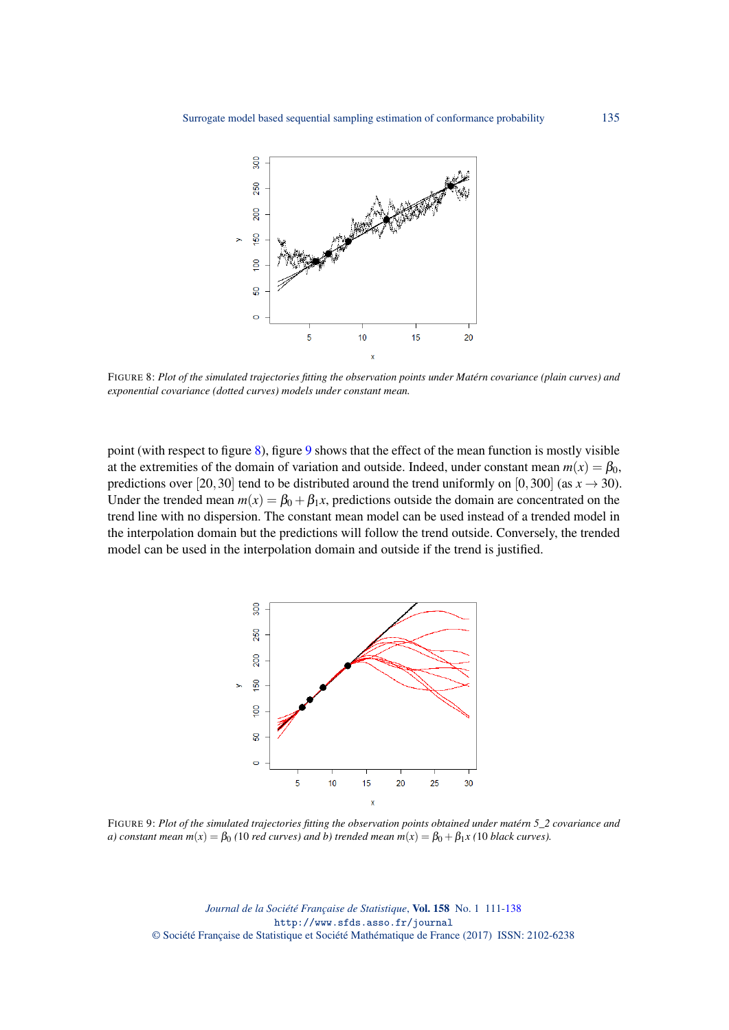<span id="page-24-0"></span>

FIGURE 8: *Plot of the simulated trajectories fitting the observation points under Matérn covariance (plain curves) and exponential covariance (dotted curves) models under constant mean.*

point (with respect to figure [8\)](#page-24-0), figure [9](#page-24-1) shows that the effect of the mean function is mostly visible at the extremities of the domain of variation and outside. Indeed, under constant mean  $m(x) = \beta_0$ , predictions over [20,30] tend to be distributed around the trend uniformly on [0,300] (as  $x \to 30$ ). Under the trended mean  $m(x) = \beta_0 + \beta_1 x$ , predictions outside the domain are concentrated on the trend line with no dispersion. The constant mean model can be used instead of a trended model in the interpolation domain but the predictions will follow the trend outside. Conversely, the trended model can be used in the interpolation domain and outside if the trend is justified.

<span id="page-24-1"></span>

FIGURE 9: *Plot of the simulated trajectories fitting the observation points obtained under matérn 5\_2 covariance and a) constant mean m(x)* =  $\beta_0$  (10 *red curves) and b) trended mean m(x)* =  $\beta_0 + \beta_1 x$  (10 *black curves).* 

*Journal de la Société Française de Statistique*, Vol. 158 No. 1 111[-138](#page-27-0) http://www.sfds.asso.fr/journal © Société Française de Statistique et Société Mathématique de France (2017) ISSN: 2102-6238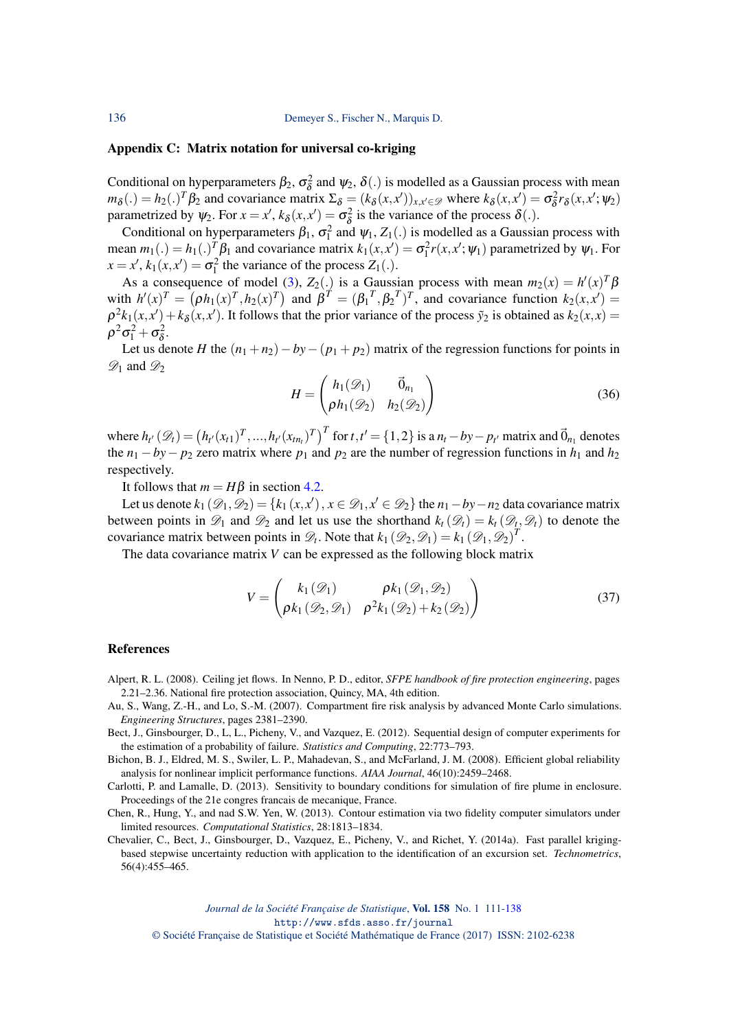136 Demeyer S., Fischer N., Marquis D.

#### <span id="page-25-2"></span>Appendix C: Matrix notation for universal co-kriging

Conditional on hyperparameters  $\beta_2$ ,  $\sigma_\delta^2$  and  $\psi_2$ ,  $\delta(.)$  is modelled as a Gaussian process with mean  $m_{\delta}$ (.) = *h*<sub>2</sub>(.)<sup>*T*</sup> β<sub>2</sub> and covariance matrix  $\Sigma_{\delta} = (k_{\delta}(x, x'))_{x, x' \in \mathcal{D}}$  where  $k_{\delta}(x, x') = \sigma_{\delta}^2$  $\frac{1}{\delta}r_{\delta}(x,x';\psi_2)$ parametrized by  $\psi_2$ . For  $x = x'$ ,  $k_\delta(x, x') = \sigma_\delta^2$  $\delta^2$  is the variance of the process  $\delta(.)$ .

Conditional on hyperparameters  $\beta_1$ ,  $\sigma_1^2$  and  $\psi_1$ ,  $Z_1(.)$  is modelled as a Gaussian process with mean  $m_1(.) = h_1(.)^T \beta_1$  and covariance matrix  $k_1(x, x') = \sigma_1^2 r(x, x'; \psi_1)$  parametrized by  $\psi_1$ . For  $x = x'$ ,  $k_1(x, x') = \sigma_1^2$  the variance of the process  $Z_1(.)$ .

As a consequence of model [\(3\)](#page-4-0),  $Z_2(.)$  is a Gaussian process with mean  $m_2(x) = h'(x)^T \beta$ with  $h'(x)^T = (\rho h_1(x)^T, h_2(x)^T)$  and  $\beta^T = (\beta_1^T, \beta_2^T)^T$ , and covariance function  $k_2(x, x') =$  $\rho^2 k_1(x, x') + k_\delta(x, x')$ . It follows that the prior variance of the process  $\tilde{y}_2$  is obtained as  $k_2(x, x) =$  $\rho^2\sigma_1^2+\sigma_\delta^2$  $\frac{2}{\delta}$ .

Let us denote *H* the  $(n_1 + n_2) - by - (p_1 + p_2)$  matrix of the regression functions for points in  $\mathscr{D}_1$  and  $\mathscr{D}_2$ 

$$
H = \begin{pmatrix} h_1(\mathcal{D}_1) & \vec{0}_{n_1} \\ \rho h_1(\mathcal{D}_2) & h_2(\mathcal{D}_2) \end{pmatrix}
$$
 (36)

where  $h_{t'}(\mathcal{D}_t) = (h_{t'}(x_{t1})^T, ..., h_{t'}(x_{tn_t})^T)^T$  for  $t, t' = \{1, 2\}$  is a  $n_t - by - p_{t'}$  matrix and  $\vec{0}_{n_1}$  denotes the  $n_1 - by - p_2$  zero matrix where  $p_1$  and  $p_2$  are the number of regression functions in  $h_1$  and  $h_2$ respectively.

It follows that  $m = H\beta$  in section [4.2.](#page-4-1)

Let us denote  $k_1(\mathcal{D}_1, \mathcal{D}_2) = \{k_1(x, x'), x \in \mathcal{D}_1, x' \in \mathcal{D}_2\}$  the  $n_1 - by - n_2$  data covariance matrix between points in  $\mathcal{D}_1$  and  $\mathcal{D}_2$  and let us use the shorthand  $k_t(\mathcal{D}_t) = k_t(\mathcal{D}_t, \mathcal{D}_t)$  to denote the covariance matrix between points in  $\mathscr{D}_t$ . Note that  $k_1(\mathscr{D}_2, \mathscr{D}_1) = k_1(\mathscr{D}_1, \mathscr{D}_2)^T$ .

The data covariance matrix *V* can be expressed as the following block matrix

$$
V = \begin{pmatrix} k_1(\mathcal{D}_1) & \rho k_1(\mathcal{D}_1, \mathcal{D}_2) \\ \rho k_1(\mathcal{D}_2, \mathcal{D}_1) & \rho^2 k_1(\mathcal{D}_2) + k_2(\mathcal{D}_2) \end{pmatrix}
$$
(37)

#### References

- <span id="page-25-7"></span>Alpert, R. L. (2008). Ceiling jet flows. In Nenno, P. D., editor, *SFPE handbook of fire protection engineering*, pages 2.21–2.36. National fire protection association, Quincy, MA, 4th edition.
- <span id="page-25-1"></span>Au, S., Wang, Z.-H., and Lo, S.-M. (2007). Compartment fire risk analysis by advanced Monte Carlo simulations. *Engineering Structures*, pages 2381–2390.
- <span id="page-25-0"></span>Bect, J., Ginsbourger, D., L, L., Picheny, V., and Vazquez, E. (2012). Sequential design of computer experiments for the estimation of a probability of failure. *Statistics and Computing*, 22:773–793.
- <span id="page-25-4"></span>Bichon, B. J., Eldred, M. S., Swiler, L. P., Mahadevan, S., and McFarland, J. M. (2008). Efficient global reliability analysis for nonlinear implicit performance functions. *AIAA Journal*, 46(10):2459–2468.

<span id="page-25-6"></span>Carlotti, P. and Lamalle, D. (2013). Sensitivity to boundary conditions for simulation of fire plume in enclosure. Proceedings of the 21e congres francais de mecanique, France.

<span id="page-25-3"></span>Chen, R., Hung, Y., and nad S.W. Yen, W. (2013). Contour estimation via two fidelity computer simulators under limited resources. *Computational Statistics*, 28:1813–1834.

<span id="page-25-5"></span>Chevalier, C., Bect, J., Ginsbourger, D., Vazquez, E., Picheny, V., and Richet, Y. (2014a). Fast parallel krigingbased stepwise uncertainty reduction with application to the identification of an excursion set. *Technometrics*, 56(4):455–465.

*Journal de la Société Française de Statistique*, Vol. 158 No. 1 111[-138](#page-27-0) http://www.sfds.asso.fr/journal

© Société Française de Statistique et Société Mathématique de France (2017) ISSN: 2102-6238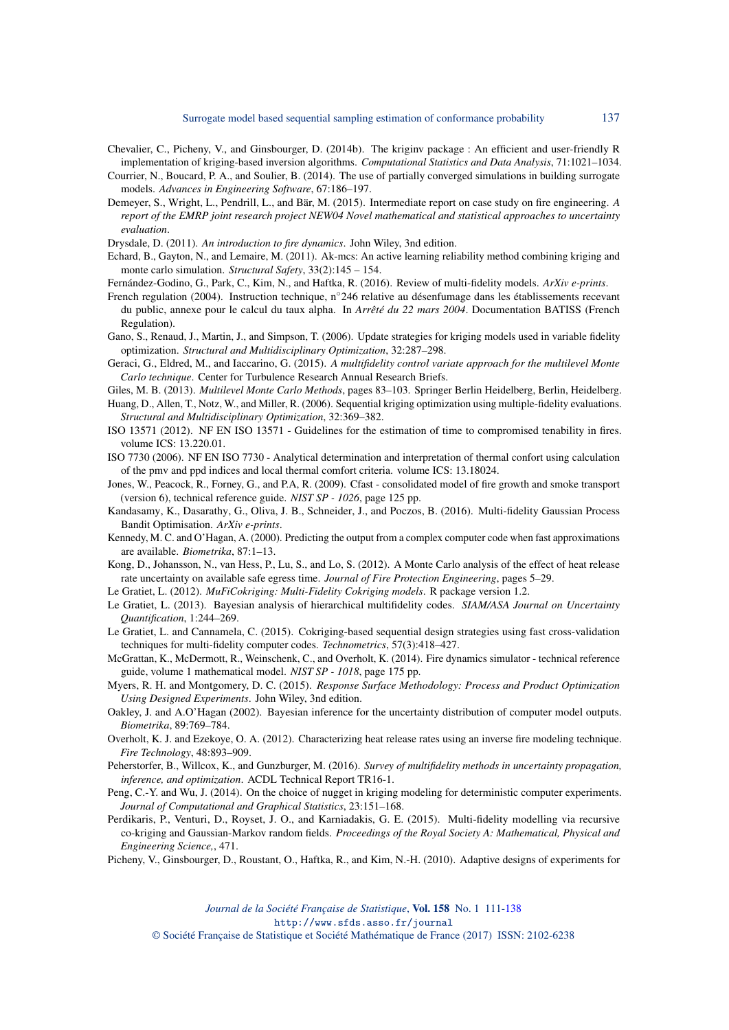- <span id="page-26-18"></span>Chevalier, C., Picheny, V., and Ginsbourger, D. (2014b). The kriginv package : An efficient and user-friendly R implementation of kriging-based inversion algorithms. *Computational Statistics and Data Analysis*, 71:1021–1034.
- <span id="page-26-16"></span>Courrier, N., Boucard, P. A., and Soulier, B. (2014). The use of partially converged simulations in building surrogate models. *Advances in Engineering Software*, 67:186–197.
- <span id="page-26-26"></span>Demeyer, S., Wright, L., Pendrill, L., and Bär, M. (2015). Intermediate report on case study on fire engineering. *A report of the EMRP joint research project NEW04 Novel mathematical and statistical approaches to uncertainty evaluation*.
- <span id="page-26-24"></span>Drysdale, D. (2011). *An introduction to fire dynamics*. John Wiley, 3nd edition.
- <span id="page-26-19"></span>Echard, B., Gayton, N., and Lemaire, M. (2011). Ak-mcs: An active learning reliability method combining kriging and monte carlo simulation. *Structural Safety*, 33(2):145 – 154.
- <span id="page-26-3"></span>Fernández-Godino, G., Park, C., Kim, N., and Haftka, R. (2016). Review of multi-fidelity models. *ArXiv e-prints*.
- <span id="page-26-23"></span>French regulation (2004). Instruction technique, n◦246 relative au désenfumage dans les établissements recevant du public, annexe pour le calcul du taux alpha. In *Arrêté du 22 mars 2004*. Documentation BATISS (French Regulation).
- <span id="page-26-17"></span>Gano, S., Renaud, J., Martin, J., and Simpson, T. (2006). Update strategies for kriging models used in variable fidelity optimization. *Structural and Multidisciplinary Optimization*, 32:287–298.
- <span id="page-26-1"></span>Geraci, G., Eldred, M., and Iaccarino, G. (2015). *A multifidelity control variate approach for the multilevel Monte Carlo technique*. Center for Turbulence Research Annual Research Briefs.
- <span id="page-26-0"></span>Giles, M. B. (2013). *Multilevel Monte Carlo Methods*, pages 83–103. Springer Berlin Heidelberg, Berlin, Heidelberg.
- <span id="page-26-15"></span>Huang, D., Allen, T., Notz, W., and Miller, R. (2006). Sequential kriging optimization using multiple-fidelity evaluations. *Structural and Multidisciplinary Optimization*, 32:369–382.
- <span id="page-26-20"></span>ISO 13571 (2012). NF EN ISO 13571 - Guidelines for the estimation of time to compromised tenability in fires. volume ICS: 13.220.01.
- <span id="page-26-25"></span>ISO 7730 (2006). NF EN ISO 7730 - Analytical determination and interpretation of thermal confort using calculation of the pmv and ppd indices and local thermal comfort criteria. volume ICS: 13.18024.
- <span id="page-26-21"></span>Jones, W., Peacock, R., Forney, G., and P.A, R. (2009). Cfast - consolidated model of fire growth and smoke transport (version 6), technical reference guide. *NIST SP - 1026*, page 125 pp.
- <span id="page-26-14"></span>Kandasamy, K., Dasarathy, G., Oliva, J. B., Schneider, J., and Poczos, B. (2016). Multi-fidelity Gaussian Process Bandit Optimisation. *ArXiv e-prints*.
- <span id="page-26-9"></span>Kennedy, M. C. and O'Hagan, A. (2000). Predicting the output from a complex computer code when fast approximations are available. *Biometrika*, 87:1–13.
- <span id="page-26-5"></span>Kong, D., Johansson, N., van Hess, P., Lu, S., and Lo, S. (2012). A Monte Carlo analysis of the effect of heat release rate uncertainty on available safe egress time. *Journal of Fire Protection Engineering*, pages 5–29.
- <span id="page-26-11"></span>Le Gratiet, L. (2012). *MuFiCokriging: Multi-Fidelity Cokriging models*. R package version 1.2.
- <span id="page-26-12"></span>Le Gratiet, L. (2013). Bayesian analysis of hierarchical multifidelity codes. *SIAM/ASA Journal on Uncertainty Quantification*, 1:244–269.
- <span id="page-26-10"></span>Le Gratiet, L. and Cannamela, C. (2015). Cokriging-based sequential design strategies using fast cross-validation techniques for multi-fidelity computer codes. *Technometrics*, 57(3):418–427.
- <span id="page-26-22"></span>McGrattan, K., McDermott, R., Weinschenk, C., and Overholt, K. (2014). Fire dynamics simulator - technical reference guide, volume 1 mathematical model. *NIST SP - 1018*, page 175 pp.
- <span id="page-26-4"></span>Myers, R. H. and Montgomery, D. C. (2015). *Response Surface Methodology: Process and Product Optimization Using Designed Experiments*. John Wiley, 3nd edition.
- <span id="page-26-13"></span>Oakley, J. and A.O'Hagan (2002). Bayesian inference for the uncertainty distribution of computer model outputs. *Biometrika*, 89:769–784.
- <span id="page-26-6"></span>Overholt, K. J. and Ezekoye, O. A. (2012). Characterizing heat release rates using an inverse fire modeling technique. *Fire Technology*, 48:893–909.
- <span id="page-26-2"></span>Peherstorfer, B., Willcox, K., and Gunzburger, M. (2016). *Survey of multifidelity methods in uncertainty propagation, inference, and optimization*. ACDL Technical Report TR16-1.
- <span id="page-26-27"></span>Peng, C.-Y. and Wu, J. (2014). On the choice of nugget in kriging modeling for deterministic computer experiments. *Journal of Computational and Graphical Statistics*, 23:151–168.
- <span id="page-26-8"></span>Perdikaris, P., Venturi, D., Royset, J. O., and Karniadakis, G. E. (2015). Multi-fidelity modelling via recursive co-kriging and Gaussian-Markov random fields. *Proceedings of the Royal Society A: Mathematical, Physical and Engineering Science,*, 471.
- <span id="page-26-7"></span>Picheny, V., Ginsbourger, D., Roustant, O., Haftka, R., and Kim, N.-H. (2010). Adaptive designs of experiments for

*Journal de la Société Française de Statistique*, Vol. 158 No. 1 111[-138](#page-27-0) http://www.sfds.asso.fr/journal